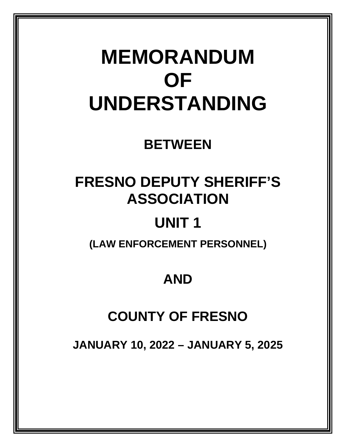# **MEMORANDUM OF UNDERSTANDING**

### **BETWEEN**

## **FRESNO DEPUTY SHERIFF'S ASSOCIATION**

## **UNIT 1**

**(LAW ENFORCEMENT PERSONNEL)**

## **AND**

### **COUNTY OF FRESNO**

**JANUARY 10, 2022 – JANUARY 5, 2025**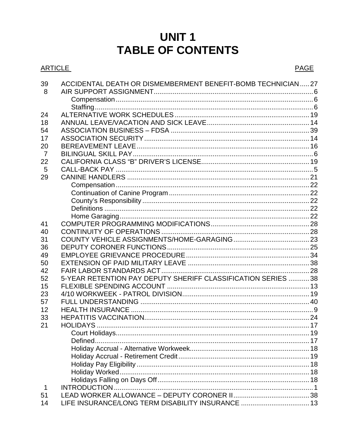### **UNIT1** TARI E OF CONTENTS

|                | IADLL VI VVNILNIJ                                           |             |
|----------------|-------------------------------------------------------------|-------------|
| <b>ARTICLE</b> |                                                             | <b>PAGE</b> |
| 39<br>- 8      | ACCIDENTAL DEATH OR DISMEMBERMENT BENEFIT-BOMB TECHNICIAN27 |             |
|                |                                                             |             |
| 24             |                                                             |             |
| 18             |                                                             |             |
| 54             |                                                             |             |
| 17             |                                                             |             |
| 20             |                                                             |             |
| $\overline{7}$ |                                                             |             |
| 22             |                                                             |             |

| 17             |                                                              |  |
|----------------|--------------------------------------------------------------|--|
| 20             |                                                              |  |
| $\overline{7}$ |                                                              |  |
| 22             |                                                              |  |
| 5              |                                                              |  |
| 29             |                                                              |  |
|                |                                                              |  |
|                |                                                              |  |
|                |                                                              |  |
|                |                                                              |  |
|                |                                                              |  |
| 41             |                                                              |  |
| 40             |                                                              |  |
| 31             |                                                              |  |
| 36             |                                                              |  |
| 49             |                                                              |  |
| 50             |                                                              |  |
| 42             |                                                              |  |
| 52             | 5-YEAR RETENTION PAY DEPUTY SHERIFF CLASSIFICATION SERIES 38 |  |
| 15             |                                                              |  |
| 23             |                                                              |  |
| 57             |                                                              |  |
| 12             |                                                              |  |
| 33             |                                                              |  |
| 21             |                                                              |  |
|                |                                                              |  |
|                |                                                              |  |
|                |                                                              |  |
|                |                                                              |  |
|                |                                                              |  |
|                |                                                              |  |
|                |                                                              |  |
| $\mathbf 1$    |                                                              |  |
| 51             |                                                              |  |
| 14             | LIFE INSURANCE/LONG TERM DISABILITY INSURANCE  13            |  |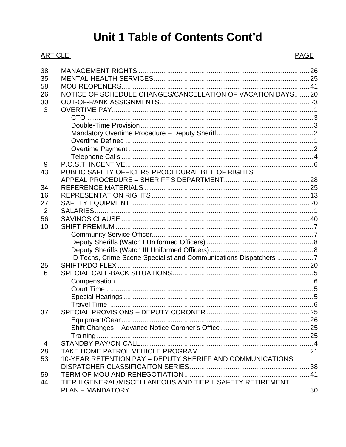### Unit 1 Table of Contents Cont'd

#### **ARTICLE**

 $\overline{4}$ 

28

53

59

44

| 38 |                                                                   |  |
|----|-------------------------------------------------------------------|--|
| 35 |                                                                   |  |
| 58 |                                                                   |  |
| 26 | NOTICE OF SCHEDULE CHANGES/CANCELLATION OF VACATION DAYS20        |  |
| 30 |                                                                   |  |
| 3  |                                                                   |  |
|    |                                                                   |  |
|    |                                                                   |  |
|    |                                                                   |  |
|    |                                                                   |  |
|    |                                                                   |  |
|    |                                                                   |  |
| 9  |                                                                   |  |
| 43 | PUBLIC SAFETY OFFICERS PROCEDURAL BILL OF RIGHTS                  |  |
|    |                                                                   |  |
| 34 |                                                                   |  |
| 16 |                                                                   |  |
| 27 |                                                                   |  |
| 2  |                                                                   |  |
| 56 |                                                                   |  |
| 10 |                                                                   |  |
|    |                                                                   |  |
|    |                                                                   |  |
|    |                                                                   |  |
|    | ID Techs, Crime Scene Specialist and Communications Dispatchers 7 |  |
| 25 |                                                                   |  |
| 6  |                                                                   |  |
|    |                                                                   |  |
|    |                                                                   |  |
|    |                                                                   |  |
|    |                                                                   |  |
| 37 |                                                                   |  |
|    |                                                                   |  |
|    |                                                                   |  |

10-YEAR RETENTION PAY - DEPUTY SHERIFF AND COMMUNICATIONS

TIER II GENERAL/MISCELLANEOUS AND TIER II SAFETY RETIREMENT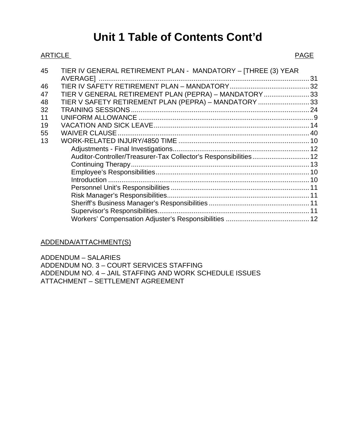### **Unit 1 Table of Contents Cont'd**

#### ARTICLE PAGE

| 45 | TIER IV GENERAL RETIREMENT PLAN - MANDATORY - [THREE (3) YEAR    |    |
|----|------------------------------------------------------------------|----|
|    |                                                                  | 31 |
| 46 |                                                                  |    |
| 47 | TIER V GENERAL RETIREMENT PLAN (PEPRA) - MANDATORY 33            |    |
| 48 | TIER V SAFETY RETIREMENT PLAN (PEPRA) - MANDATORY 33             |    |
| 32 |                                                                  |    |
| 11 |                                                                  |    |
| 19 |                                                                  |    |
| 55 |                                                                  |    |
| 13 |                                                                  |    |
|    |                                                                  |    |
|    | Auditor-Controller/Treasurer-Tax Collector's Responsibilities 12 |    |
|    |                                                                  |    |
|    |                                                                  |    |
|    |                                                                  |    |
|    |                                                                  |    |
|    |                                                                  |    |
|    |                                                                  |    |
|    |                                                                  |    |
|    |                                                                  |    |

#### ADDENDA/ATTACHMENT(S)

ADDENDUM – SALARIES ADDENDUM NO. 3 – COURT SERVICES STAFFING ADDENDUM NO. 4 – JAIL STAFFING AND WORK SCHEDULE ISSUES ATTACHMENT – SETTLEMENT AGREEMENT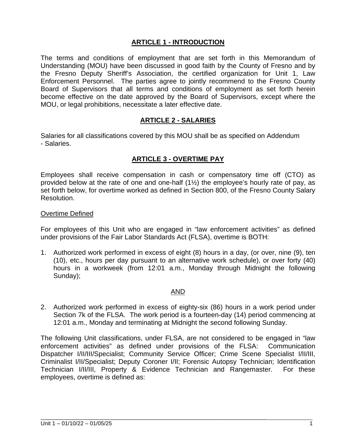#### **ARTICLE 1 - INTRODUCTION**

The terms and conditions of employment that are set forth in this Memorandum of Understanding (MOU) have been discussed in good faith by the County of Fresno and by the Fresno Deputy Sheriff's Association, the certified organization for Unit 1, Law Enforcement Personnel. The parties agree to jointly recommend to the Fresno County Board of Supervisors that all terms and conditions of employment as set forth herein become effective on the date approved by the Board of Supervisors, except where the MOU, or legal prohibitions, necessitate a later effective date.

#### **ARTICLE 2 - SALARIES**

Salaries for all classifications covered by this MOU shall be as specified on Addendum - Salaries.

#### **ARTICLE 3 - OVERTIME PAY**

Employees shall receive compensation in cash or compensatory time off (CTO) as provided below at the rate of one and one-half (1½) the employee's hourly rate of pay, as set forth below, for overtime worked as defined in Section 800, of the Fresno County Salary Resolution.

#### Overtime Defined

For employees of this Unit who are engaged in "law enforcement activities" as defined under provisions of the Fair Labor Standards Act (FLSA), overtime is BOTH:

1. Authorized work performed in excess of eight (8) hours in a day, (or over, nine (9), ten (10), etc., hours per day pursuant to an alternative work schedule), or over forty (40) hours in a workweek (from 12:01 a.m., Monday through Midnight the following Sunday);

#### AND

2. Authorized work performed in excess of eighty-six (86) hours in a work period under Section 7k of the FLSA. The work period is a fourteen-day (14) period commencing at 12:01 a.m., Monday and terminating at Midnight the second following Sunday.

The following Unit classifications, under FLSA, are not considered to be engaged in "law enforcement activities" as defined under provisions of the FLSA: Communication Dispatcher I/II/III/Specialist; Community Service Officer; Crime Scene Specialist I/II/III, Criminalist I/II/Specialist; Deputy Coroner I/II; Forensic Autopsy Technician; Identification Technician I/II/III, Property & Evidence Technician and Rangemaster. For these employees, overtime is defined as: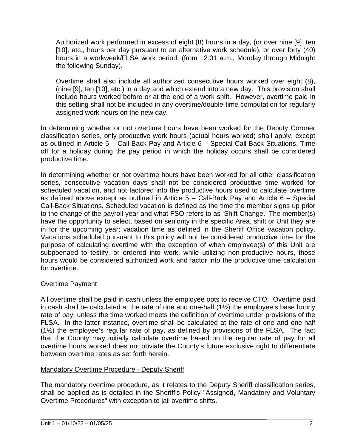Authorized work performed in excess of eight (8) hours in a day, (or over nine [9], ten [10], etc., hours per day pursuant to an alternative work schedule), or over forty (40) hours in a workweek/FLSA work period, (from 12:01 a.m., Monday through Midnight the following Sunday).

Overtime shall also include all authorized consecutive hours worked over eight (8), (nine [9], ten [10], etc.) in a day and which extend into a new day. This provision shall include hours worked before or at the end of a work shift. However, overtime paid in this setting shall not be included in any overtime/double-time computation for regularly assigned work hours on the new day.

In determining whether or not overtime hours have been worked for the Deputy Coroner classification series, only productive work hours (actual hours worked) shall apply, except as outlined in Article 5 – Call-Back Pay and Article 6 – Special Call-Back Situations. Time off for a holiday during the pay period in which the holiday occurs shall be considered productive time.

In determining whether or not overtime hours have been worked for all other classification series, consecutive vacation days shall not be considered productive time worked for scheduled vacation, and not factored into the productive hours used to calculate overtime as defined above except as outlined in Article 5 – Call-Back Pay and Article 6 – Special Call-Back Situations. Scheduled vacation is defined as the time the member signs up prior to the change of the payroll year and what FSO refers to as 'Shift Change.' The member(s) have the opportunity to select, based on seniority in the specific Area, shift or Unit they are in for the upcoming year; vacation time as defined in the Sheriff Office vacation policy. Vacations scheduled pursuant to this policy will not be considered productive time for the purpose of calculating overtime with the exception of when employee(s) of this Unit are subpoenaed to testify, or ordered into work, while utilizing non-productive hours, those hours would be considered authorized work and factor into the productive time calculation for overtime.

#### Overtime Payment

All overtime shall be paid in cash unless the employee opts to receive CTO. Overtime paid in cash shall be calculated at the rate of one and one-half (1½) the employee's base hourly rate of pay, unless the time worked meets the definition of overtime under provisions of the FLSA. In the latter instance, overtime shall be calculated at the rate of one and one-half (1½) the employee's regular rate of pay, as defined by provisions of the FLSA. The fact that the County may initially calculate overtime based on the regular rate of pay for all overtime hours worked does not obviate the County's future exclusive right to differentiate between overtime rates as set forth herein.

#### Mandatory Overtime Procedure - Deputy Sheriff

The mandatory overtime procedure, as it relates to the Deputy Sheriff classification series, shall be applied as is detailed in the Sheriff's Policy "Assigned, Mandatory and Voluntary Overtime Procedures" with exception to jail overtime shifts.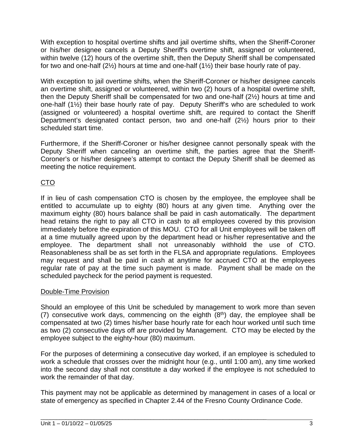With exception to hospital overtime shifts and jail overtime shifts, when the Sheriff-Coroner or his/her designee cancels a Deputy Sheriff's overtime shift, assigned or volunteered, within twelve (12) hours of the overtime shift, then the Deputy Sheriff shall be compensated for two and one-half  $(2\frac{1}{2})$  hours at time and one-half  $(1\frac{1}{2})$  their base hourly rate of pay.

With exception to jail overtime shifts, when the Sheriff-Coroner or his/her designee cancels an overtime shift, assigned or volunteered, within two (2) hours of a hospital overtime shift, then the Deputy Sheriff shall be compensated for two and one-half (2½) hours at time and one-half (1½) their base hourly rate of pay. Deputy Sheriff's who are scheduled to work (assigned or volunteered) a hospital overtime shift, are required to contact the Sheriff Department's designated contact person, two and one-half (2½) hours prior to their scheduled start time.

Furthermore, if the Sheriff-Coroner or his/her designee cannot personally speak with the Deputy Sheriff when canceling an overtime shift, the parties agree that the Sheriff-Coroner's or his/her designee's attempt to contact the Deputy Sheriff shall be deemed as meeting the notice requirement.

#### CTO

If in lieu of cash compensation CTO is chosen by the employee, the employee shall be entitled to accumulate up to eighty (80) hours at any given time. Anything over the maximum eighty (80) hours balance shall be paid in cash automatically. The department head retains the right to pay all CTO in cash to all employees covered by this provision immediately before the expiration of this MOU. CTO for all Unit employees will be taken off at a time mutually agreed upon by the department head or his/her representative and the employee. The department shall not unreasonably withhold the use of CTO. Reasonableness shall be as set forth in the FLSA and appropriate regulations. Employees may request and shall be paid in cash at anytime for accrued CTO at the employees regular rate of pay at the time such payment is made. Payment shall be made on the scheduled paycheck for the period payment is requested.

#### Double-Time Provision

Should an employee of this Unit be scheduled by management to work more than seven (7) consecutive work days, commencing on the eighth  $(8<sup>th</sup>)$  day, the employee shall be compensated at two (2) times his/her base hourly rate for each hour worked until such time as two (2) consecutive days off are provided by Management. CTO may be elected by the employee subject to the eighty-hour (80) maximum.

For the purposes of determining a consecutive day worked, if an employee is scheduled to work a schedule that crosses over the midnight hour (e.g., until 1:00 am), any time worked into the second day shall not constitute a day worked if the employee is not scheduled to work the remainder of that day.

This payment may not be applicable as determined by management in cases of a local or state of emergency as specified in Chapter 2.44 of the Fresno County Ordinance Code.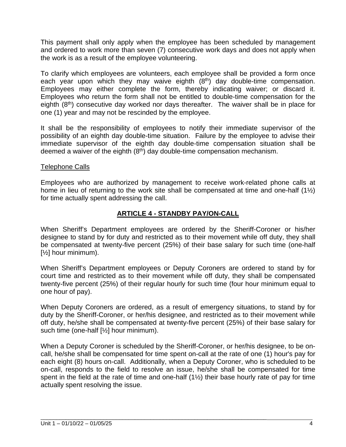This payment shall only apply when the employee has been scheduled by management and ordered to work more than seven (7) consecutive work days and does not apply when the work is as a result of the employee volunteering.

To clarify which employees are volunteers, each employee shall be provided a form once each year upon which they may waive eighth (8<sup>th</sup>) day double-time compensation. Employees may either complete the form, thereby indicating waiver; or discard it. Employees who return the form shall not be entitled to double-time compensation for the eighth  $(8<sup>th</sup>)$  consecutive day worked nor days thereafter. The waiver shall be in place for one (1) year and may not be rescinded by the employee.

It shall be the responsibility of employees to notify their immediate supervisor of the possibility of an eighth day double-time situation. Failure by the employee to advise their immediate supervisor of the eighth day double-time compensation situation shall be deemed a waiver of the eighth  $(8<sup>th</sup>)$  day double-time compensation mechanism.

#### Telephone Calls

Employees who are authorized by management to receive work-related phone calls at home in lieu of returning to the work site shall be compensated at time and one-half  $(1\frac{1}{2})$ for time actually spent addressing the call.

#### **ARTICLE 4 - STANDBY PAY/ON-CALL**

When Sheriff's Department employees are ordered by the Sheriff-Coroner or his/her designee to stand by for duty and restricted as to their movement while off duty, they shall be compensated at twenty-five percent (25%) of their base salary for such time (one-half [½] hour minimum).

When Sheriff's Department employees or Deputy Coroners are ordered to stand by for court time and restricted as to their movement while off duty, they shall be compensated twenty-five percent (25%) of their regular hourly for such time (four hour minimum equal to one hour of pay).

When Deputy Coroners are ordered, as a result of emergency situations, to stand by for duty by the Sheriff-Coroner, or her/his designee, and restricted as to their movement while off duty, he/she shall be compensated at twenty-five percent (25%) of their base salary for such time (one-half [½] hour minimum).

When a Deputy Coroner is scheduled by the Sheriff-Coroner, or her/his designee, to be oncall, he/she shall be compensated for time spent on-call at the rate of one (1) hour's pay for each eight (8) hours on-call. Additionally, when a Deputy Coroner, who is scheduled to be on-call, responds to the field to resolve an issue, he/she shall be compensated for time spent in the field at the rate of time and one-half  $(1\frac{1}{2})$  their base hourly rate of pay for time actually spent resolving the issue.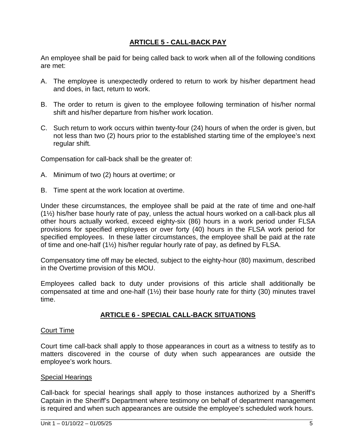#### **ARTICLE 5 - CALL-BACK PAY**

An employee shall be paid for being called back to work when all of the following conditions are met:

- A. The employee is unexpectedly ordered to return to work by his/her department head and does, in fact, return to work.
- B. The order to return is given to the employee following termination of his/her normal shift and his/her departure from his/her work location.
- C. Such return to work occurs within twenty-four (24) hours of when the order is given, but not less than two (2) hours prior to the established starting time of the employee's next regular shift.

Compensation for call-back shall be the greater of:

- A. Minimum of two (2) hours at overtime; or
- B. Time spent at the work location at overtime.

Under these circumstances, the employee shall be paid at the rate of time and one-half (1½) his/her base hourly rate of pay, unless the actual hours worked on a call-back plus all other hours actually worked, exceed eighty-six (86) hours in a work period under FLSA provisions for specified employees or over forty (40) hours in the FLSA work period for specified employees. In these latter circumstances, the employee shall be paid at the rate of time and one-half (1½) his/her regular hourly rate of pay, as defined by FLSA.

Compensatory time off may be elected, subject to the eighty-hour (80) maximum, described in the Overtime provision of this MOU.

Employees called back to duty under provisions of this article shall additionally be compensated at time and one-half (1½) their base hourly rate for thirty (30) minutes travel time.

#### **ARTICLE 6 - SPECIAL CALL-BACK SITUATIONS**

#### Court Time

Court time call-back shall apply to those appearances in court as a witness to testify as to matters discovered in the course of duty when such appearances are outside the employee's work hours.

#### Special Hearings

Call-back for special hearings shall apply to those instances authorized by a Sheriff's Captain in the Sheriff's Department where testimony on behalf of department management is required and when such appearances are outside the employee's scheduled work hours.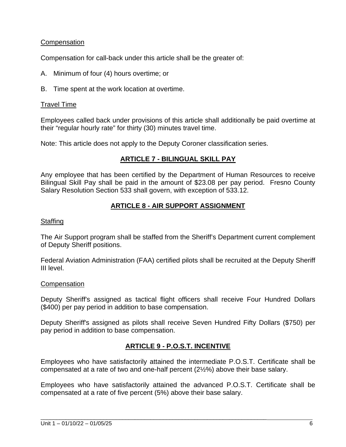#### **Compensation**

Compensation for call-back under this article shall be the greater of:

- A. Minimum of four (4) hours overtime; or
- B. Time spent at the work location at overtime.

#### Travel Time

Employees called back under provisions of this article shall additionally be paid overtime at their "regular hourly rate" for thirty (30) minutes travel time.

Note: This article does not apply to the Deputy Coroner classification series.

#### **ARTICLE 7 - BILINGUAL SKILL PAY**

Any employee that has been certified by the Department of Human Resources to receive Bilingual Skill Pay shall be paid in the amount of \$23.08 per pay period. Fresno County Salary Resolution Section 533 shall govern, with exception of 533.12.

#### **ARTICLE 8 - AIR SUPPORT ASSIGNMENT**

#### Staffing

The Air Support program shall be staffed from the Sheriff's Department current complement of Deputy Sheriff positions.

Federal Aviation Administration (FAA) certified pilots shall be recruited at the Deputy Sheriff III level.

#### **Compensation**

Deputy Sheriff's assigned as tactical flight officers shall receive Four Hundred Dollars (\$400) per pay period in addition to base compensation.

Deputy Sheriff's assigned as pilots shall receive Seven Hundred Fifty Dollars (\$750) per pay period in addition to base compensation.

#### **ARTICLE 9 - P.O.S.T. INCENTIVE**

Employees who have satisfactorily attained the intermediate P.O.S.T. Certificate shall be compensated at a rate of two and one-half percent (2½%) above their base salary.

Employees who have satisfactorily attained the advanced P.O.S.T. Certificate shall be compensated at a rate of five percent (5%) above their base salary.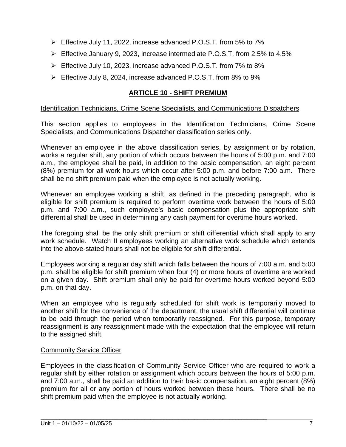- Effective July 11, 2022, increase advanced P.O.S.T. from 5% to 7%
- $\triangleright$  Effective January 9, 2023, increase intermediate P.O.S.T. from 2.5% to 4.5%
- Effective July 10, 2023, increase advanced P.O.S.T. from 7% to 8%
- Effective July 8, 2024, increase advanced P.O.S.T. from 8% to 9%

#### **ARTICLE 10 - SHIFT PREMIUM**

#### Identification Technicians, Crime Scene Specialists*,* and Communications Dispatchers

This section applies to employees in the Identification Technicians, Crime Scene Specialists, and Communications Dispatcher classification series only.

Whenever an employee in the above classification series, by assignment or by rotation, works a regular shift, any portion of which occurs between the hours of 5:00 p.m. and 7:00 a.m., the employee shall be paid, in addition to the basic compensation, an eight percent (8%) premium for all work hours which occur after 5:00 p.m. and before 7:00 a.m*.* There shall be no shift premium paid when the employee is not actually working.

Whenever an employee working a shift, as defined in the preceding paragraph, who is eligible for shift premium is required to perform overtime work between the hours of 5:00 p.m. and 7:00 a.m., such employee's basic compensation plus the appropriate shift differential shall be used in determining any cash payment for overtime hours worked.

The foregoing shall be the only shift premium or shift differential which shall apply to any work schedule. Watch II employees working an alternative work schedule which extends into the above-stated hours shall not be eligible for shift differential.

Employees working a regular day shift which falls between the hours of 7:00 a.m. and 5:00 p.m. shall be eligible for shift premium when four (4) or more hours of overtime are worked on a given day. Shift premium shall only be paid for overtime hours worked beyond 5:00 p.m. on that day.

When an employee who is regularly scheduled for shift work is temporarily moved to another shift for the convenience of the department, the usual shift differential will continue to be paid through the period when temporarily reassigned. For this purpose, temporary reassignment is any reassignment made with the expectation that the employee will return to the assigned shift.

#### Community Service Officer

Employees in the classification of Community Service Officer who are required to work a regular shift by either rotation or assignment which occurs between the hours of 5:00 p.m. and 7:00 a.m., shall be paid an addition to their basic compensation, an eight percent (8%) premium for all or any portion of hours worked between these hours. There shall be no shift premium paid when the employee is not actually working.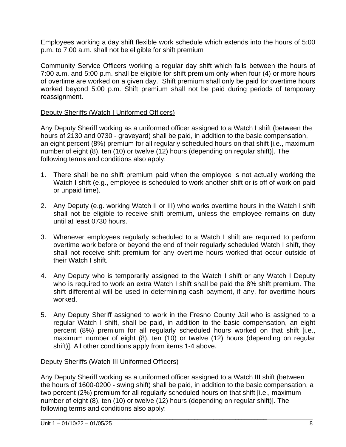Employees working a day shift flexible work schedule which extends into the hours of 5:00 p.m. to 7:00 a.m. shall not be eligible for shift premium

Community Service Officers working a regular day shift which falls between the hours of 7:00 a.m. and 5:00 p.m. shall be eligible for shift premium only when four (4) or more hours of overtime are worked on a given day. Shift premium shall only be paid for overtime hours worked beyond 5:00 p.m. Shift premium shall not be paid during periods of temporary reassignment.

#### Deputy Sheriffs (Watch I Uniformed Officers)

Any Deputy Sheriff working as a uniformed officer assigned to a Watch I shift (between the hours of 2130 and 0730 - graveyard) shall be paid, in addition to the basic compensation, an eight percent (8%) premium for all regularly scheduled hours on that shift [i.e., maximum number of eight (8), ten (10) or twelve (12) hours (depending on regular shift)]. The following terms and conditions also apply:

- 1. There shall be no shift premium paid when the employee is not actually working the Watch I shift (e.g., employee is scheduled to work another shift or is off of work on paid or unpaid time).
- 2. Any Deputy (e.g. working Watch II or III) who works overtime hours in the Watch I shift shall not be eligible to receive shift premium, unless the employee remains on duty until at least 0730 hours.
- 3. Whenever employees regularly scheduled to a Watch I shift are required to perform overtime work before or beyond the end of their regularly scheduled Watch I shift, they shall not receive shift premium for any overtime hours worked that occur outside of their Watch I shift.
- 4. Any Deputy who is temporarily assigned to the Watch I shift or any Watch I Deputy who is required to work an extra Watch I shift shall be paid the 8% shift premium. The shift differential will be used in determining cash payment, if any, for overtime hours worked.
- 5. Any Deputy Sheriff assigned to work in the Fresno County Jail who is assigned to a regular Watch I shift, shall be paid, in addition to the basic compensation, an eight percent (8%) premium for all regularly scheduled hours worked on that shift [i.e., maximum number of eight (8), ten (10) or twelve (12) hours (depending on regular shift)]. All other conditions apply from items 1-4 above.

#### Deputy Sheriffs (Watch III Uniformed Officers)

Any Deputy Sheriff working as a uniformed officer assigned to a Watch III shift (between the hours of 1600-0200 - swing shift) shall be paid, in addition to the basic compensation, a two percent (2%) premium for all regularly scheduled hours on that shift [i.e., maximum number of eight (8), ten (10) or twelve (12) hours (depending on regular shift)]. The following terms and conditions also apply: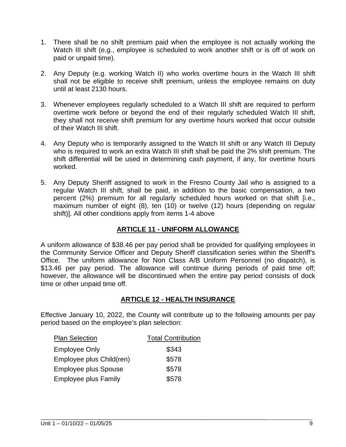- 1. There shall be no shift premium paid when the employee is not actually working the Watch III shift (e.g., employee is scheduled to work another shift or is off of work on paid or unpaid time).
- 2. Any Deputy (e.g. working Watch II) who works overtime hours in the Watch III shift shall not be eligible to receive shift premium, unless the employee remains on duty until at least 2130 hours.
- 3. Whenever employees regularly scheduled to a Watch III shift are required to perform overtime work before or beyond the end of their regularly scheduled Watch III shift, they shall not receive shift premium for any overtime hours worked that occur outside of their Watch III shift.
- 4. Any Deputy who is temporarily assigned to the Watch III shift or any Watch III Deputy who is required to work an extra Watch III shift shall be paid the 2% shift premium. The shift differential will be used in determining cash payment, if any, for overtime hours worked.
- 5. Any Deputy Sheriff assigned to work in the Fresno County Jail who is assigned to a regular Watch III shift, shall be paid, in addition to the basic compensation, a two percent (2%) premium for all regularly scheduled hours worked on that shift [i.e., maximum number of eight (8), ten (10) or twelve (12) hours (depending on regular shift)]. All other conditions apply from items 1-4 above

#### **ARTICLE 11 - UNIFORM ALLOWANCE**

A uniform allowance of \$38.46 per pay period shall be provided for qualifying employees in the Community Service Officer and Deputy Sheriff classification series within the Sheriff's Office. The uniform allowance for Non Class A/B Uniform Personnel (no dispatch), is \$13.46 per pay period. The allowance will continue during periods of paid time off; however, the allowance will be discontinued when the entire pay period consists of dock time or other unpaid time off.

#### **ARTICLE 12 - HEALTH INSURANCE**

Effective January 10, 2022, the County will contribute up to the following amounts per pay period based on the employee's plan selection:

| <b>Plan Selection</b>       | <b>Total Contribution</b> |
|-----------------------------|---------------------------|
| <b>Employee Only</b>        | \$343                     |
| Employee plus Child(ren)    | \$578                     |
| <b>Employee plus Spouse</b> | \$578                     |
| <b>Employee plus Family</b> | \$578                     |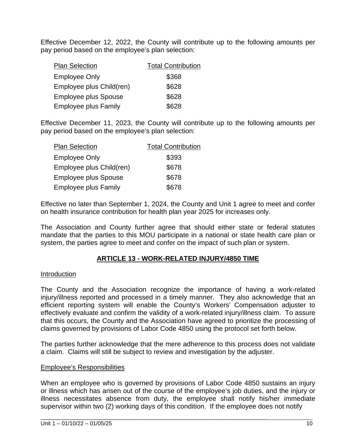Effective December 12, 2022, the County will contribute up to the following amounts per pay period based on the employee's plan selection:

| <b>Plan Selection</b>       | <b>Total Contribution</b> |
|-----------------------------|---------------------------|
| <b>Employee Only</b>        | \$368                     |
| Employee plus Child(ren)    | \$628                     |
| <b>Employee plus Spouse</b> | \$628                     |
| <b>Employee plus Family</b> | \$628                     |

Effective December 11, 2023, the County will contribute up to the following amounts per pay period based on the employee's plan selection:

| <b>Plan Selection</b>       | <b>Total Contribution</b> |
|-----------------------------|---------------------------|
| <b>Employee Only</b>        | \$393                     |
| Employee plus Child(ren)    | \$678                     |
| <b>Employee plus Spouse</b> | \$678                     |
| <b>Employee plus Family</b> | \$678                     |

Effective no later than September 1, 2024, the County and Unit 1 agree to meet and confer on health insurance contribution for health plan year 2025 for increases only.

The Association and County further agree that should either state or federal statutes mandate that the parties to this MOU participate in a national or state health care plan or system, the parties agree to meet and confer on the impact of such plan or system.

#### **ARTICLE 13 - WORK-RELATED INJURY/4850 TIME**

#### Introduction

The County and the Association recognize the importance of having a work-related injury/illness reported and processed in a timely manner. They also acknowledge that an efficient reporting system will enable the County's Workers' Compensation adjuster to effectively evaluate and confirm the validity of a work-related injury/illness claim. To assure that this occurs, the County and the Association have agreed to prioritize the processing of claims governed by provisions of Labor Code 4850 using the protocol set forth below.

The parties further acknowledge that the mere adherence to this process does not validate a claim. Claims will still be subject to review and investigation by the adjuster.

#### Employee's Responsibilities

When an employee who is governed by provisions of Labor Code 4850 sustains an injury or illness which has arisen out of the course of the employee's job duties, and the injury or illness necessitates absence from duty, the employee shall notify his/her immediate supervisor within two (2) working days of this condition. If the employee does not notify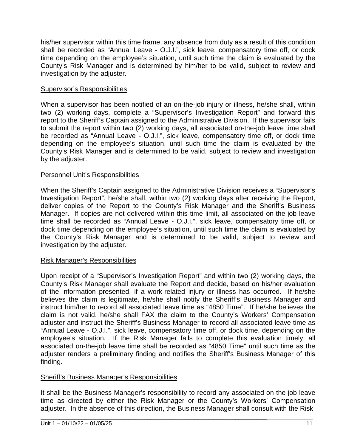his/her supervisor within this time frame, any absence from duty as a result of this condition shall be recorded as "Annual Leave - O.J.I.", sick leave, compensatory time off, or dock time depending on the employee's situation, until such time the claim is evaluated by the County's Risk Manager and is determined by him/her to be valid, subject to review and investigation by the adjuster.

#### Supervisor's Responsibilities

When a supervisor has been notified of an on-the-job injury or illness, he/she shall, within two (2) working days, complete a "Supervisor's Investigation Report" and forward this report to the Sheriff's Captain assigned to the Administrative Division. If the supervisor fails to submit the report within two (2) working days, all associated on-the-job leave time shall be recorded as "Annual Leave - O.J.I.", sick leave, compensatory time off, or dock time depending on the employee's situation, until such time the claim is evaluated by the County's Risk Manager and is determined to be valid, subject to review and investigation by the adjuster.

#### Personnel Unit's Responsibilities

When the Sheriff's Captain assigned to the Administrative Division receives a "Supervisor's Investigation Report", he/she shall, within two (2) working days after receiving the Report, deliver copies of the Report to the County's Risk Manager and the Sheriff's Business Manager. If copies are not delivered within this time limit, all associated on-the-job leave time shall be recorded as "Annual Leave - O.J.I.", sick leave, compensatory time off, or dock time depending on the employee's situation, until such time the claim is evaluated by the County's Risk Manager and is determined to be valid, subject to review and investigation by the adjuster.

#### Risk Manager's Responsibilities

Upon receipt of a "Supervisor's Investigation Report" and within two (2) working days, the County's Risk Manager shall evaluate the Report and decide, based on his/her evaluation of the information presented, if a work-related injury or illness has occurred. If he/she believes the claim is legitimate, he/she shall notify the Sheriff's Business Manager and instruct him/her to record all associated leave time as "4850 Time". If he/she believes the claim is not valid, he/she shall FAX the claim to the County's Workers' Compensation adjuster and instruct the Sheriff's Business Manager to record all associated leave time as "Annual Leave - O.J.I.", sick leave, compensatory time off, or dock time, depending on the employee's situation. If the Risk Manager fails to complete this evaluation timely, all associated on-the-job leave time shall be recorded as "4850 Time" until such time as the adjuster renders a preliminary finding and notifies the Sheriff's Business Manager of this finding.

#### Sheriff's Business Manager's Responsibilities

It shall be the Business Manager's responsibility to record any associated on-the-job leave time as directed by either the Risk Manager or the County's Workers' Compensation adjuster. In the absence of this direction, the Business Manager shall consult with the Risk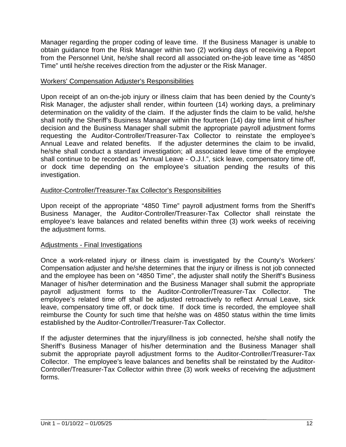Manager regarding the proper coding of leave time. If the Business Manager is unable to obtain guidance from the Risk Manager within two (2) working days of receiving a Report from the Personnel Unit, he/she shall record all associated on-the-job leave time as "4850 Time" until he/she receives direction from the adjuster or the Risk Manager.

#### Workers' Compensation Adjuster's Responsibilities

Upon receipt of an on-the-job injury or illness claim that has been denied by the County's Risk Manager, the adjuster shall render, within fourteen (14) working days, a preliminary determination on the validity of the claim. If the adjuster finds the claim to be valid, he/she shall notify the Sheriff's Business Manager within the fourteen (14) day time limit of his/her decision and the Business Manager shall submit the appropriate payroll adjustment forms requesting the Auditor-Controller/Treasurer-Tax Collector to reinstate the employee's Annual Leave and related benefits. If the adjuster determines the claim to be invalid, he/she shall conduct a standard investigation; all associated leave time of the employee shall continue to be recorded as "Annual Leave - O.J.I.", sick leave, compensatory time off, or dock time depending on the employee's situation pending the results of this investigation.

#### Auditor-Controller/Treasurer-Tax Collector's Responsibilities

Upon receipt of the appropriate "4850 Time" payroll adjustment forms from the Sheriff's Business Manager, the Auditor-Controller/Treasurer-Tax Collector shall reinstate the employee's leave balances and related benefits within three (3) work weeks of receiving the adjustment forms.

#### Adjustments - Final Investigations

Once a work-related injury or illness claim is investigated by the County's Workers' Compensation adjuster and he/she determines that the injury or illness is not job connected and the employee has been on "4850 Time", the adjuster shall notify the Sheriff's Business Manager of his/her determination and the Business Manager shall submit the appropriate payroll adjustment forms to the Auditor-Controller/Treasurer-Tax Collector. The employee's related time off shall be adjusted retroactively to reflect Annual Leave, sick leave, compensatory time off, or dock time. If dock time is recorded, the employee shall reimburse the County for such time that he/she was on 4850 status within the time limits established by the Auditor-Controller/Treasurer-Tax Collector.

If the adjuster determines that the injury/illness is job connected, he/she shall notify the Sheriff's Business Manager of his/her determination and the Business Manager shall submit the appropriate payroll adjustment forms to the Auditor-Controller/Treasurer-Tax Collector. The employee's leave balances and benefits shall be reinstated by the Auditor-Controller/Treasurer-Tax Collector within three (3) work weeks of receiving the adjustment forms.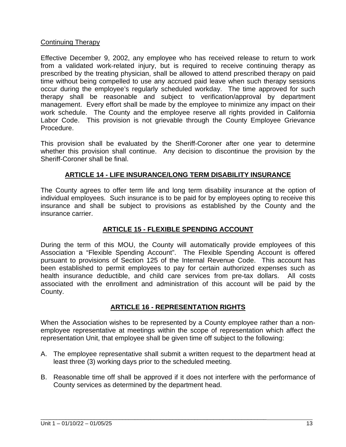#### Continuing Therapy

Effective December 9, 2002, any employee who has received release to return to work from a validated work-related injury, but is required to receive continuing therapy as prescribed by the treating physician, shall be allowed to attend prescribed therapy on paid time without being compelled to use any accrued paid leave when such therapy sessions occur during the employee's regularly scheduled workday. The time approved for such therapy shall be reasonable and subject to verification/approval by department management. Every effort shall be made by the employee to minimize any impact on their work schedule. The County and the employee reserve all rights provided in California Labor Code. This provision is not grievable through the County Employee Grievance Procedure.

This provision shall be evaluated by the Sheriff-Coroner after one year to determine whether this provision shall continue. Any decision to discontinue the provision by the Sheriff-Coroner shall be final.

#### **ARTICLE 14 - LIFE INSURANCE/LONG TERM DISABILITY INSURANCE**

The County agrees to offer term life and long term disability insurance at the option of individual employees. Such insurance is to be paid for by employees opting to receive this insurance and shall be subject to provisions as established by the County and the insurance carrier.

#### **ARTICLE 15 - FLEXIBLE SPENDING ACCOUNT**

During the term of this MOU, the County will automatically provide employees of this Association a "Flexible Spending Account". The Flexible Spending Account is offered pursuant to provisions of Section 125 of the Internal Revenue Code. This account has been established to permit employees to pay for certain authorized expenses such as health insurance deductible, and child care services from pre-tax dollars. All costs associated with the enrollment and administration of this account will be paid by the County.

#### **ARTICLE 16 - REPRESENTATION RIGHTS**

When the Association wishes to be represented by a County employee rather than a nonemployee representative at meetings within the scope of representation which affect the representation Unit, that employee shall be given time off subject to the following:

- A. The employee representative shall submit a written request to the department head at least three (3) working days prior to the scheduled meeting.
- B. Reasonable time off shall be approved if it does not interfere with the performance of County services as determined by the department head.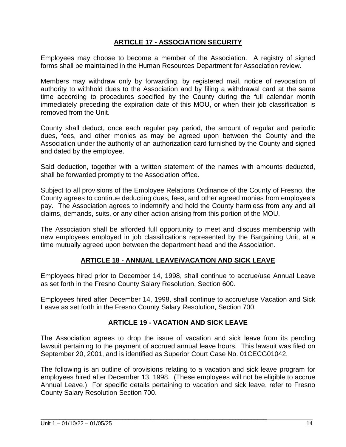#### **ARTICLE 17 - ASSOCIATION SECURITY**

Employees may choose to become a member of the Association. A registry of signed forms shall be maintained in the Human Resources Department for Association review.

Members may withdraw only by forwarding, by registered mail, notice of revocation of authority to withhold dues to the Association and by filing a withdrawal card at the same time according to procedures specified by the County during the full calendar month immediately preceding the expiration date of this MOU, or when their job classification is removed from the Unit.

County shall deduct, once each regular pay period, the amount of regular and periodic dues, fees, and other monies as may be agreed upon between the County and the Association under the authority of an authorization card furnished by the County and signed and dated by the employee.

Said deduction, together with a written statement of the names with amounts deducted, shall be forwarded promptly to the Association office.

Subject to all provisions of the Employee Relations Ordinance of the County of Fresno, the County agrees to continue deducting dues, fees, and other agreed monies from employee's pay. The Association agrees to indemnify and hold the County harmless from any and all claims, demands, suits, or any other action arising from this portion of the MOU.

The Association shall be afforded full opportunity to meet and discuss membership with new employees employed in job classifications represented by the Bargaining Unit, at a time mutually agreed upon between the department head and the Association.

#### **ARTICLE 18 - ANNUAL LEAVE/VACATION AND SICK LEAVE**

Employees hired prior to December 14, 1998, shall continue to accrue/use Annual Leave as set forth in the Fresno County Salary Resolution, Section 600.

Employees hired after December 14, 1998, shall continue to accrue/use Vacation and Sick Leave as set forth in the Fresno County Salary Resolution, Section 700.

#### **ARTICLE 19 - VACATION AND SICK LEAVE**

The Association agrees to drop the issue of vacation and sick leave from its pending lawsuit pertaining to the payment of accrued annual leave hours. This lawsuit was filed on September 20, 2001, and is identified as Superior Court Case No. 01CECG01042.

The following is an outline of provisions relating to a vacation and sick leave program for employees hired after December 13, 1998. (These employees will not be eligible to accrue Annual Leave.) For specific details pertaining to vacation and sick leave, refer to Fresno County Salary Resolution Section 700.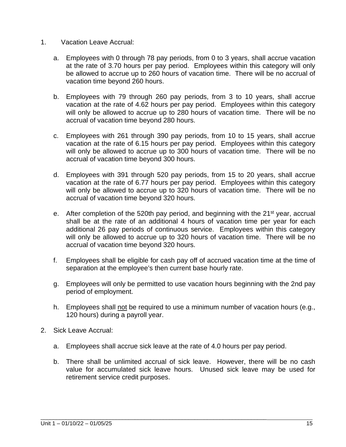- 1. Vacation Leave Accrual:
	- a. Employees with 0 through 78 pay periods, from 0 to 3 years, shall accrue vacation at the rate of 3.70 hours per pay period. Employees within this category will only be allowed to accrue up to 260 hours of vacation time. There will be no accrual of vacation time beyond 260 hours.
	- b. Employees with 79 through 260 pay periods, from 3 to 10 years, shall accrue vacation at the rate of 4.62 hours per pay period. Employees within this category will only be allowed to accrue up to 280 hours of vacation time. There will be no accrual of vacation time beyond 280 hours.
	- c. Employees with 261 through 390 pay periods, from 10 to 15 years, shall accrue vacation at the rate of 6.15 hours per pay period. Employees within this category will only be allowed to accrue up to 300 hours of vacation time. There will be no accrual of vacation time beyond 300 hours.
	- d. Employees with 391 through 520 pay periods, from 15 to 20 years, shall accrue vacation at the rate of 6.77 hours per pay period. Employees within this category will only be allowed to accrue up to 320 hours of vacation time. There will be no accrual of vacation time beyond 320 hours.
	- e. After completion of the 520th pay period, and beginning with the 21<sup>st</sup> year, accrual shall be at the rate of an additional 4 hours of vacation time per year for each additional 26 pay periods of continuous service. Employees within this category will only be allowed to accrue up to 320 hours of vacation time. There will be no accrual of vacation time beyond 320 hours.
	- f. Employees shall be eligible for cash pay off of accrued vacation time at the time of separation at the employee's then current base hourly rate.
	- g. Employees will only be permitted to use vacation hours beginning with the 2nd pay period of employment.
	- h. Employees shall not be required to use a minimum number of vacation hours (e.g., 120 hours) during a payroll year.
- 2. Sick Leave Accrual:
	- a. Employees shall accrue sick leave at the rate of 4.0 hours per pay period.

\_\_\_\_\_\_\_\_\_\_\_\_\_\_\_\_\_\_\_\_\_\_\_\_\_\_\_\_\_\_\_\_\_\_\_\_\_\_\_\_\_\_\_\_\_\_\_\_\_\_\_\_\_\_\_\_\_\_\_\_\_\_\_\_\_\_\_\_\_\_\_\_

b. There shall be unlimited accrual of sick leave. However, there will be no cash value for accumulated sick leave hours. Unused sick leave may be used for retirement service credit purposes.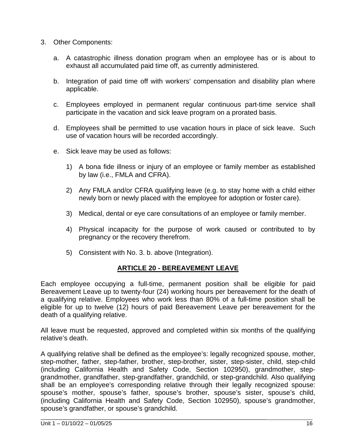- 3. Other Components:
	- a. A catastrophic illness donation program when an employee has or is about to exhaust all accumulated paid time off, as currently administered.
	- b. Integration of paid time off with workers' compensation and disability plan where applicable.
	- c. Employees employed in permanent regular continuous part-time service shall participate in the vacation and sick leave program on a prorated basis.
	- d. Employees shall be permitted to use vacation hours in place of sick leave. Such use of vacation hours will be recorded accordingly.
	- e. Sick leave may be used as follows:
		- 1) A bona fide illness or injury of an employee or family member as established by law (i.e., FMLA and CFRA).
		- 2) Any FMLA and/or CFRA qualifying leave (e.g. to stay home with a child either newly born or newly placed with the employee for adoption or foster care).
		- 3) Medical, dental or eye care consultations of an employee or family member.
		- 4) Physical incapacity for the purpose of work caused or contributed to by pregnancy or the recovery therefrom.
		- 5) Consistent with No. 3. b. above (Integration).

#### **ARTICLE 20 - BEREAVEMENT LEAVE**

Each employee occupying a full-time, permanent position shall be eligible for paid Bereavement Leave up to twenty-four (24) working hours per bereavement for the death of a qualifying relative. Employees who work less than 80% of a full-time position shall be eligible for up to twelve (12) hours of paid Bereavement Leave per bereavement for the death of a qualifying relative.

All leave must be requested, approved and completed within six months of the qualifying relative's death.

A qualifying relative shall be defined as the employee's: legally recognized spouse, mother, step-mother, father, step-father, brother, step-brother, sister, step-sister, child, step-child (including California Health and Safety Code, Section 102950), grandmother, stepgrandmother, grandfather, step-grandfather, grandchild, or step-grandchild. Also qualifying shall be an employee's corresponding relative through their legally recognized spouse: spouse's mother, spouse's father, spouse's brother, spouse's sister, spouse's child, (including California Health and Safety Code, Section 102950), spouse's grandmother, spouse's grandfather, or spouse's grandchild.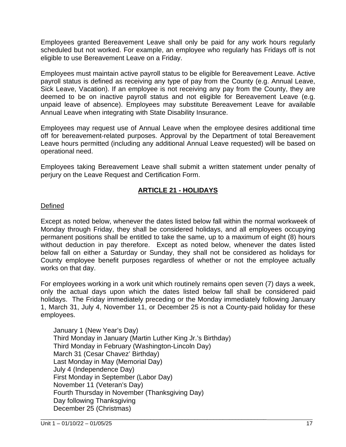Employees granted Bereavement Leave shall only be paid for any work hours regularly scheduled but not worked. For example, an employee who regularly has Fridays off is not eligible to use Bereavement Leave on a Friday.

Employees must maintain active payroll status to be eligible for Bereavement Leave. Active payroll status is defined as receiving any type of pay from the County (e.g. Annual Leave, Sick Leave, Vacation). If an employee is not receiving any pay from the County, they are deemed to be on inactive payroll status and not eligible for Bereavement Leave (e.g. unpaid leave of absence). Employees may substitute Bereavement Leave for available Annual Leave when integrating with State Disability Insurance.

Employees may request use of Annual Leave when the employee desires additional time off for bereavement-related purposes. Approval by the Department of total Bereavement Leave hours permitted (including any additional Annual Leave requested) will be based on operational need.

Employees taking Bereavement Leave shall submit a written statement under penalty of perjury on the Leave Request and Certification Form.

#### **ARTICLE 21 - HOLIDAYS**

#### Defined

Except as noted below, whenever the dates listed below fall within the normal workweek of Monday through Friday, they shall be considered holidays, and all employees occupying permanent positions shall be entitled to take the same, up to a maximum of eight (8) hours without deduction in pay therefore. Except as noted below, whenever the dates listed below fall on either a Saturday or Sunday, they shall not be considered as holidays for County employee benefit purposes regardless of whether or not the employee actually works on that day.

For employees working in a work unit which routinely remains open seven (7) days a week, only the actual days upon which the dates listed below fall shall be considered paid holidays. The Friday immediately preceding or the Monday immediately following January 1, March 31, July 4, November 11, or December 25 is not a County-paid holiday for these employees.

January 1 (New Year's Day) Third Monday in January (Martin Luther King Jr.'s Birthday) Third Monday in February (Washington-Lincoln Day) March 31 (Cesar Chavez' Birthday) Last Monday in May (Memorial Day) July 4 (Independence Day) First Monday in September (Labor Day) November 11 (Veteran's Day) Fourth Thursday in November (Thanksgiving Day) Day following Thanksgiving December 25 (Christmas)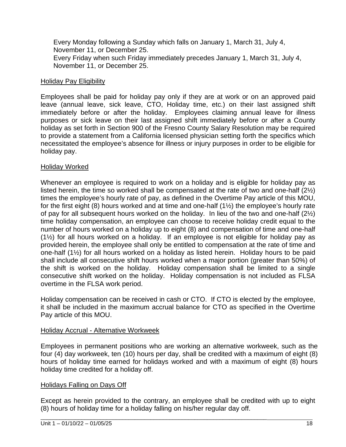Every Monday following a Sunday which falls on January 1, March 31, July 4, November 11, or December 25. Every Friday when such Friday immediately precedes January 1, March 31, July 4, November 11, or December 25.

#### Holiday Pay Eligibility

Employees shall be paid for holiday pay only if they are at work or on an approved paid leave (annual leave, sick leave, CTO, Holiday time, etc.) on their last assigned shift immediately before or after the holiday. Employees claiming annual leave for illness purposes or sick leave on their last assigned shift immediately before or after a County holiday as set forth in Section 900 of the Fresno County Salary Resolution may be required to provide a statement from a California licensed physician setting forth the specifics which necessitated the employee's absence for illness or injury purposes in order to be eligible for holiday pay.

#### Holiday Worked

Whenever an employee is required to work on a holiday and is eligible for holiday pay as listed herein, the time so worked shall be compensated at the rate of two and one-half (2½) times the employee's hourly rate of pay, as defined in the Overtime Pay article of this MOU, for the first eight (8) hours worked and at time and one-half (1½) the employee's hourly rate of pay for all subsequent hours worked on the holiday. In lieu of the two and one-half (2½) time holiday compensation, an employee can choose to receive holiday credit equal to the number of hours worked on a holiday up to eight (8) and compensation of time and one-half (1½) for all hours worked on a holiday. If an employee is not eligible for holiday pay as provided herein, the employee shall only be entitled to compensation at the rate of time and one-half (1½) for all hours worked on a holiday as listed herein. Holiday hours to be paid shall include all consecutive shift hours worked when a major portion (greater than 50%) of the shift is worked on the holiday. Holiday compensation shall be limited to a single consecutive shift worked on the holiday. Holiday compensation is not included as FLSA overtime in the FLSA work period.

Holiday compensation can be received in cash or CTO. If CTO is elected by the employee, it shall be included in the maximum accrual balance for CTO as specified in the Overtime Pay article of this MOU.

#### Holiday Accrual - Alternative Workweek

Employees in permanent positions who are working an alternative workweek, such as the four (4) day workweek, ten (10) hours per day, shall be credited with a maximum of eight (8) hours of holiday time earned for holidays worked and with a maximum of eight (8) hours holiday time credited for a holiday off.

#### Holidays Falling on Days Off

Except as herein provided to the contrary, an employee shall be credited with up to eight (8) hours of holiday time for a holiday falling on his/her regular day off.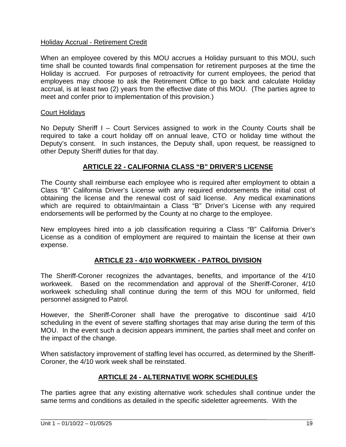#### Holiday Accrual - Retirement Credit

When an employee covered by this MOU accrues a Holiday pursuant to this MOU, such time shall be counted towards final compensation for retirement purposes at the time the Holiday is accrued. For purposes of retroactivity for current employees, the period that employees may choose to ask the Retirement Office to go back and calculate Holiday accrual, is at least two (2) years from the effective date of this MOU. (The parties agree to meet and confer prior to implementation of this provision.)

#### Court Holidays

No Deputy Sheriff I – Court Services assigned to work in the County Courts shall be required to take a court holiday off on annual leave, CTO or holiday time without the Deputy's consent. In such instances, the Deputy shall, upon request, be reassigned to other Deputy Sheriff duties for that day.

#### **ARTICLE 22 - CALIFORNIA CLASS "B" DRIVER'S LICENSE**

The County shall reimburse each employee who is required after employment to obtain a Class "B" California Driver's License with any required endorsements the initial cost of obtaining the license and the renewal cost of said license. Any medical examinations which are required to obtain/maintain a Class "B" Driver's License with any required endorsements will be performed by the County at no charge to the employee.

New employees hired into a job classification requiring a Class "B" California Driver's License as a condition of employment are required to maintain the license at their own expense.

#### **ARTICLE 23 - 4/10 WORKWEEK - PATROL DIVISION**

The Sheriff-Coroner recognizes the advantages, benefits, and importance of the 4/10 workweek. Based on the recommendation and approval of the Sheriff-Coroner, 4/10 workweek scheduling shall continue during the term of this MOU for uniformed, field personnel assigned to Patrol.

However, the Sheriff-Coroner shall have the prerogative to discontinue said 4/10 scheduling in the event of severe staffing shortages that may arise during the term of this MOU. In the event such a decision appears imminent, the parties shall meet and confer on the impact of the change.

When satisfactory improvement of staffing level has occurred, as determined by the Sheriff-Coroner, the 4/10 work week shall be reinstated.

#### **ARTICLE 24 - ALTERNATIVE WORK SCHEDULES**

The parties agree that any existing alternative work schedules shall continue under the same terms and conditions as detailed in the specific sideletter agreements. With the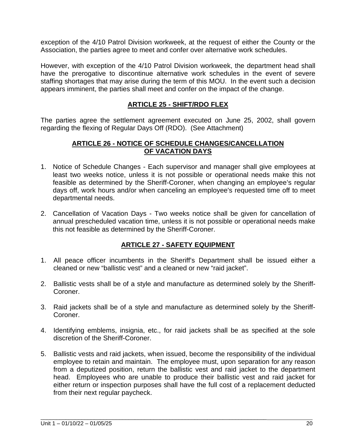exception of the 4/10 Patrol Division workweek, at the request of either the County or the Association, the parties agree to meet and confer over alternative work schedules.

However, with exception of the 4/10 Patrol Division workweek, the department head shall have the prerogative to discontinue alternative work schedules in the event of severe staffing shortages that may arise during the term of this MOU. In the event such a decision appears imminent, the parties shall meet and confer on the impact of the change.

#### **ARTICLE 25 - SHIFT/RDO FLEX**

The parties agree the settlement agreement executed on June 25, 2002, shall govern regarding the flexing of Regular Days Off (RDO). (See Attachment)

#### **ARTICLE 26 - NOTICE OF SCHEDULE CHANGES/CANCELLATION OF VACATION DAYS**

- 1. Notice of Schedule Changes Each supervisor and manager shall give employees at least two weeks notice, unless it is not possible or operational needs make this not feasible as determined by the Sheriff-Coroner, when changing an employee's regular days off, work hours and/or when canceling an employee's requested time off to meet departmental needs.
- 2. Cancellation of Vacation Days Two weeks notice shall be given for cancellation of annual prescheduled vacation time, unless it is not possible or operational needs make this not feasible as determined by the Sheriff-Coroner.

#### **ARTICLE 27 - SAFETY EQUIPMENT**

- 1. All peace officer incumbents in the Sheriff's Department shall be issued either a cleaned or new "ballistic vest" and a cleaned or new "raid jacket".
- 2. Ballistic vests shall be of a style and manufacture as determined solely by the Sheriff-Coroner.
- 3. Raid jackets shall be of a style and manufacture as determined solely by the Sheriff-Coroner.
- 4. Identifying emblems, insignia, etc., for raid jackets shall be as specified at the sole discretion of the Sheriff-Coroner.
- 5. Ballistic vests and raid jackets, when issued, become the responsibility of the individual employee to retain and maintain. The employee must, upon separation for any reason from a deputized position, return the ballistic vest and raid jacket to the department head. Employees who are unable to produce their ballistic vest and raid jacket for either return or inspection purposes shall have the full cost of a replacement deducted from their next regular paycheck.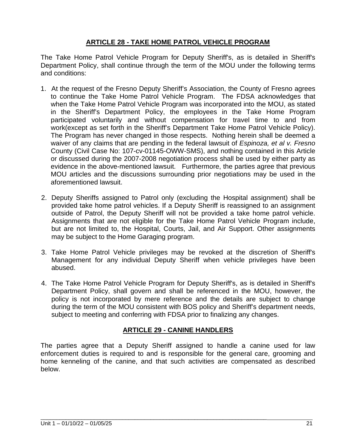#### **ARTICLE 28 - TAKE HOME PATROL VEHICLE PROGRAM**

The Take Home Patrol Vehicle Program for Deputy Sheriff's, as is detailed in Sheriff's Department Policy, shall continue through the term of the MOU under the following terms and conditions:

- 1. At the request of the Fresno Deputy Sheriff's Association, the County of Fresno agrees to continue the Take Home Patrol Vehicle Program. The FDSA acknowledges that when the Take Home Patrol Vehicle Program was incorporated into the MOU, as stated in the Sheriff's Department Policy, the employees in the Take Home Program participated voluntarily and without compensation for travel time to and from work(except as set forth in the Sheriff's Department Take Home Patrol Vehicle Policy). The Program has never changed in those respects. Nothing herein shall be deemed a waiver of any claims that are pending in the federal lawsuit of *Espinoza, et al v. Fresno*  County (Civil Case No: 107-cv-01145-OWW-SMS), and nothing contained in this Article or discussed during the 2007-2008 negotiation process shall be used by either party as evidence in the above-mentioned lawsuit. Furthermore, the parties agree that previous MOU articles and the discussions surrounding prior negotiations may be used in the aforementioned lawsuit.
- 2. Deputy Sheriffs assigned to Patrol only (excluding the Hospital assignment) shall be provided take home patrol vehicles. If a Deputy Sheriff is reassigned to an assignment outside of Patrol, the Deputy Sheriff will not be provided a take home patrol vehicle. Assignments that are not eligible for the Take Home Patrol Vehicle Program include, but are not limited to, the Hospital, Courts, Jail, and Air Support. Other assignments may be subject to the Home Garaging program.
- 3. Take Home Patrol Vehicle privileges may be revoked at the discretion of Sheriff's Management for any individual Deputy Sheriff when vehicle privileges have been abused.
- 4. The Take Home Patrol Vehicle Program for Deputy Sheriff's, as is detailed in Sheriff's Department Policy, shall govern and shall be referenced in the MOU, however, the policy is not incorporated by mere reference and the details are subject to change during the term of the MOU consistent with BOS policy and Sheriff's department needs, subject to meeting and conferring with FDSA prior to finalizing any changes.

#### **ARTICLE 29 - CANINE HANDLERS**

The parties agree that a Deputy Sheriff assigned to handle a canine used for law enforcement duties is required to and is responsible for the general care, grooming and home kenneling of the canine, and that such activities are compensated as described below.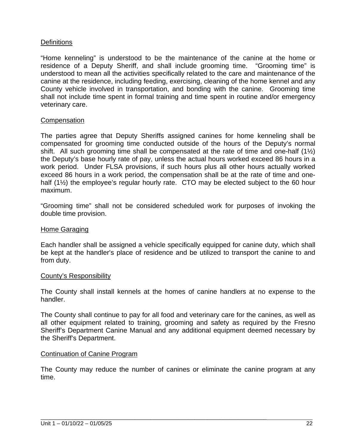#### **Definitions**

"Home kenneling" is understood to be the maintenance of the canine at the home or residence of a Deputy Sheriff, and shall include grooming time. "Grooming time" is understood to mean all the activities specifically related to the care and maintenance of the canine at the residence, including feeding, exercising, cleaning of the home kennel and any County vehicle involved in transportation, and bonding with the canine. Grooming time shall not include time spent in formal training and time spent in routine and/or emergency veterinary care.

#### **Compensation**

The parties agree that Deputy Sheriffs assigned canines for home kenneling shall be compensated for grooming time conducted outside of the hours of the Deputy's normal shift. All such grooming time shall be compensated at the rate of time and one-half  $(1\frac{1}{2})$ the Deputy's base hourly rate of pay, unless the actual hours worked exceed 86 hours in a work period. Under FLSA provisions, if such hours plus all other hours actually worked exceed 86 hours in a work period, the compensation shall be at the rate of time and onehalf (1<sup>1/2</sup>) the employee's regular hourly rate. CTO may be elected subject to the 60 hour maximum.

"Grooming time" shall not be considered scheduled work for purposes of invoking the double time provision.

#### Home Garaging

Each handler shall be assigned a vehicle specifically equipped for canine duty, which shall be kept at the handler's place of residence and be utilized to transport the canine to and from duty.

#### County's Responsibility

The County shall install kennels at the homes of canine handlers at no expense to the handler.

The County shall continue to pay for all food and veterinary care for the canines, as well as all other equipment related to training, grooming and safety as required by the Fresno Sheriff's Department Canine Manual and any additional equipment deemed necessary by the Sheriff's Department.

#### Continuation of Canine Program

The County may reduce the number of canines or eliminate the canine program at any time.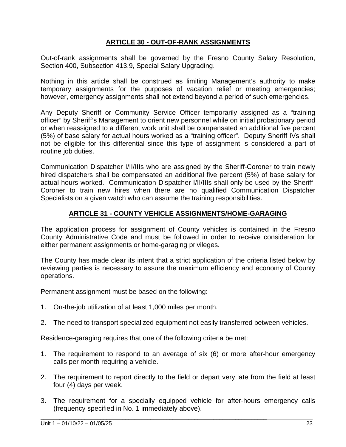#### **ARTICLE 30 - OUT-OF-RANK ASSIGNMENTS**

Out-of-rank assignments shall be governed by the Fresno County Salary Resolution, Section 400, Subsection 413.9, Special Salary Upgrading.

Nothing in this article shall be construed as limiting Management's authority to make temporary assignments for the purposes of vacation relief or meeting emergencies; however, emergency assignments shall not extend beyond a period of such emergencies.

Any Deputy Sheriff or Community Service Officer temporarily assigned as a "training officer" by Sheriff's Management to orient new personnel while on initial probationary period or when reassigned to a different work unit shall be compensated an additional five percent (5%) of base salary for actual hours worked as a "training officer". Deputy Sheriff IVs shall not be eligible for this differential since this type of assignment is considered a part of routine job duties.

Communication Dispatcher I/II/IIIs who are assigned by the Sheriff-Coroner to train newly hired dispatchers shall be compensated an additional five percent (5%) of base salary for actual hours worked. Communication Dispatcher I/II/IIIs shall only be used by the Sheriff-Coroner to train new hires when there are no qualified Communication Dispatcher Specialists on a given watch who can assume the training responsibilities.

#### **ARTICLE 31 - COUNTY VEHICLE ASSIGNMENTS/HOME-GARAGING**

The application process for assignment of County vehicles is contained in the Fresno County Administrative Code and must be followed in order to receive consideration for either permanent assignments or home-garaging privileges.

The County has made clear its intent that a strict application of the criteria listed below by reviewing parties is necessary to assure the maximum efficiency and economy of County operations.

Permanent assignment must be based on the following:

- 1. On-the-job utilization of at least 1,000 miles per month.
- 2. The need to transport specialized equipment not easily transferred between vehicles.

Residence-garaging requires that one of the following criteria be met:

- 1. The requirement to respond to an average of six (6) or more after-hour emergency calls per month requiring a vehicle.
- 2. The requirement to report directly to the field or depart very late from the field at least four (4) days per week.
- 3. The requirement for a specially equipped vehicle for after-hours emergency calls (frequency specified in No. 1 immediately above).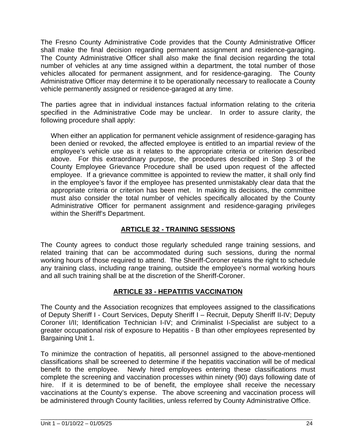The Fresno County Administrative Code provides that the County Administrative Officer shall make the final decision regarding permanent assignment and residence-garaging. The County Administrative Officer shall also make the final decision regarding the total number of vehicles at any time assigned within a department, the total number of those vehicles allocated for permanent assignment, and for residence-garaging. The County Administrative Officer may determine it to be operationally necessary to reallocate a County vehicle permanently assigned or residence-garaged at any time.

The parties agree that in individual instances factual information relating to the criteria specified in the Administrative Code may be unclear. In order to assure clarity, the following procedure shall apply:

When either an application for permanent vehicle assignment of residence-garaging has been denied or revoked, the affected employee is entitled to an impartial review of the employee's vehicle use as it relates to the appropriate criteria or criterion described above. For this extraordinary purpose, the procedures described in Step 3 of the County Employee Grievance Procedure shall be used upon request of the affected employee. If a grievance committee is appointed to review the matter, it shall only find in the employee's favor if the employee has presented unmistakably clear data that the appropriate criteria or criterion has been met. In making its decisions, the committee must also consider the total number of vehicles specifically allocated by the County Administrative Officer for permanent assignment and residence-garaging privileges within the Sheriff's Department.

#### **ARTICLE 32 - TRAINING SESSIONS**

The County agrees to conduct those regularly scheduled range training sessions, and related training that can be accommodated during such sessions, during the normal working hours of those required to attend. The Sheriff-Coroner retains the right to schedule any training class, including range training, outside the employee's normal working hours and all such training shall be at the discretion of the Sheriff-Coroner.

#### **ARTICLE 33 - HEPATITIS VACCINATION**

The County and the Association recognizes that employees assigned to the classifications of Deputy Sheriff I - Court Services, Deputy Sheriff I – Recruit, Deputy Sheriff II-IV; Deputy Coroner I/II; Identification Technician I-IV; and Criminalist I-Specialist are subject to a greater occupational risk of exposure to Hepatitis - B than other employees represented by Bargaining Unit 1.

To minimize the contraction of hepatitis, all personnel assigned to the above-mentioned classifications shall be screened to determine if the hepatitis vaccination will be of medical benefit to the employee. Newly hired employees entering these classifications must complete the screening and vaccination processes within ninety (90) days following date of hire. If it is determined to be of benefit, the employee shall receive the necessary vaccinations at the County's expense. The above screening and vaccination process will be administered through County facilities, unless referred by County Administrative Office.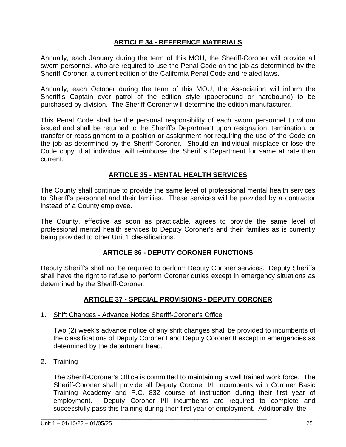#### **ARTICLE 34 - REFERENCE MATERIALS**

Annually, each January during the term of this MOU, the Sheriff-Coroner will provide all sworn personnel, who are required to use the Penal Code on the job as determined by the Sheriff-Coroner, a current edition of the California Penal Code and related laws.

Annually, each October during the term of this MOU, the Association will inform the Sheriff's Captain over patrol of the edition style (paperbound or hardbound) to be purchased by division. The Sheriff-Coroner will determine the edition manufacturer.

This Penal Code shall be the personal responsibility of each sworn personnel to whom issued and shall be returned to the Sheriff's Department upon resignation, termination, or transfer or reassignment to a position or assignment not requiring the use of the Code on the job as determined by the Sheriff-Coroner. Should an individual misplace or lose the Code copy, that individual will reimburse the Sheriff's Department for same at rate then current.

#### **ARTICLE 35 - MENTAL HEALTH SERVICES**

The County shall continue to provide the same level of professional mental health services to Sheriff's personnel and their families. These services will be provided by a contractor instead of a County employee.

The County, effective as soon as practicable, agrees to provide the same level of professional mental health services to Deputy Coroner's and their families as is currently being provided to other Unit 1 classifications.

#### **ARTICLE 36 - DEPUTY CORONER FUNCTIONS**

Deputy Sheriff's shall not be required to perform Deputy Coroner services. Deputy Sheriffs shall have the right to refuse to perform Coroner duties except in emergency situations as determined by the Sheriff-Coroner.

#### **ARTICLE 37 - SPECIAL PROVISIONS - DEPUTY CORONER**

#### 1. Shift Changes - Advance Notice Sheriff-Coroner's Office

Two (2) week's advance notice of any shift changes shall be provided to incumbents of the classifications of Deputy Coroner I and Deputy Coroner II except in emergencies as determined by the department head.

2. Training

The Sheriff-Coroner's Office is committed to maintaining a well trained work force. The Sheriff-Coroner shall provide all Deputy Coroner I/II incumbents with Coroner Basic Training Academy and P.C. 832 course of instruction during their first year of employment. Deputy Coroner I/II incumbents are required to complete and successfully pass this training during their first year of employment. Additionally, the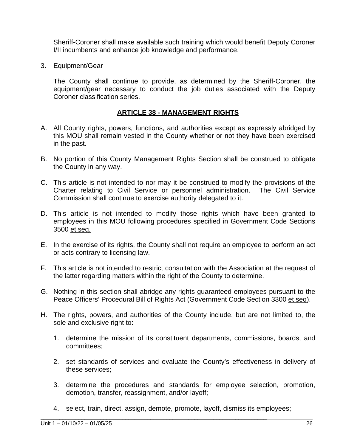Sheriff-Coroner shall make available such training which would benefit Deputy Coroner I/II incumbents and enhance job knowledge and performance.

3. Equipment/Gear

The County shall continue to provide, as determined by the Sheriff-Coroner, the equipment/gear necessary to conduct the job duties associated with the Deputy Coroner classification series.

#### **ARTICLE 38 - MANAGEMENT RIGHTS**

- A. All County rights, powers, functions, and authorities except as expressly abridged by this MOU shall remain vested in the County whether or not they have been exercised in the past.
- B. No portion of this County Management Rights Section shall be construed to obligate the County in any way.
- C. This article is not intended to nor may it be construed to modify the provisions of the Charter relating to Civil Service or personnel administration. The Civil Service Commission shall continue to exercise authority delegated to it.
- D. This article is not intended to modify those rights which have been granted to employees in this MOU following procedures specified in Government Code Sections 3500 et seq.
- E. In the exercise of its rights, the County shall not require an employee to perform an act or acts contrary to licensing law.
- F. This article is not intended to restrict consultation with the Association at the request of the latter regarding matters within the right of the County to determine.
- G. Nothing in this section shall abridge any rights guaranteed employees pursuant to the Peace Officers' Procedural Bill of Rights Act (Government Code Section 3300 et seq).
- H. The rights, powers, and authorities of the County include, but are not limited to, the sole and exclusive right to:
	- 1. determine the mission of its constituent departments, commissions, boards, and committees;
	- 2. set standards of services and evaluate the County's effectiveness in delivery of these services;
	- 3. determine the procedures and standards for employee selection, promotion, demotion, transfer, reassignment, and/or layoff;
	- 4. select, train, direct, assign, demote, promote, layoff, dismiss its employees;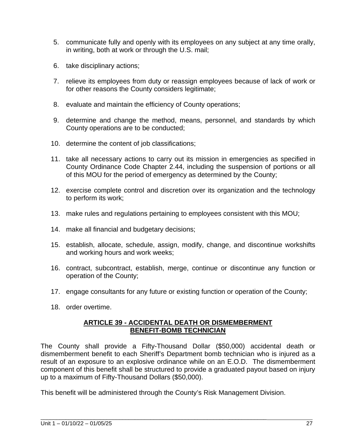- 5. communicate fully and openly with its employees on any subject at any time orally, in writing, both at work or through the U.S. mail;
- 6. take disciplinary actions;
- 7. relieve its employees from duty or reassign employees because of lack of work or for other reasons the County considers legitimate;
- 8. evaluate and maintain the efficiency of County operations;
- 9. determine and change the method, means, personnel, and standards by which County operations are to be conducted;
- 10. determine the content of job classifications;
- 11. take all necessary actions to carry out its mission in emergencies as specified in County Ordinance Code Chapter 2.44, including the suspension of portions or all of this MOU for the period of emergency as determined by the County;
- 12. exercise complete control and discretion over its organization and the technology to perform its work;
- 13. make rules and regulations pertaining to employees consistent with this MOU;
- 14. make all financial and budgetary decisions;
- 15. establish, allocate, schedule, assign, modify, change, and discontinue workshifts and working hours and work weeks;
- 16. contract, subcontract, establish, merge, continue or discontinue any function or operation of the County;
- 17. engage consultants for any future or existing function or operation of the County;
- 18. order overtime.

#### **ARTICLE 39 - ACCIDENTAL DEATH OR DISMEMBERMENT BENEFIT-BOMB TECHNICIAN**

The County shall provide a Fifty-Thousand Dollar (\$50,000) accidental death or dismemberment benefit to each Sheriff's Department bomb technician who is injured as a result of an exposure to an explosive ordinance while on an E.O.D. The dismemberment component of this benefit shall be structured to provide a graduated payout based on injury up to a maximum of Fifty-Thousand Dollars (\$50,000).

This benefit will be administered through the County's Risk Management Division.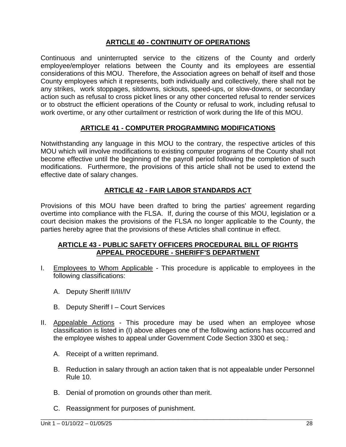#### **ARTICLE 40 - CONTINUITY OF OPERATIONS**

Continuous and uninterrupted service to the citizens of the County and orderly employee/employer relations between the County and its employees are essential considerations of this MOU. Therefore, the Association agrees on behalf of itself and those County employees which it represents, both individually and collectively, there shall not be any strikes, work stoppages, sitdowns, sickouts, speed-ups, or slow-downs, or secondary action such as refusal to cross picket lines or any other concerted refusal to render services or to obstruct the efficient operations of the County or refusal to work, including refusal to work overtime, or any other curtailment or restriction of work during the life of this MOU.

#### **ARTICLE 41 - COMPUTER PROGRAMMING MODIFICATIONS**

Notwithstanding any language in this MOU to the contrary, the respective articles of this MOU which will involve modifications to existing computer programs of the County shall not become effective until the beginning of the payroll period following the completion of such modifications. Furthermore, the provisions of this article shall not be used to extend the effective date of salary changes.

#### **ARTICLE 42 - FAIR LABOR STANDARDS ACT**

Provisions of this MOU have been drafted to bring the parties' agreement regarding overtime into compliance with the FLSA. If, during the course of this MOU, legislation or a court decision makes the provisions of the FLSA no longer applicable to the County, the parties hereby agree that the provisions of these Articles shall continue in effect.

#### **ARTICLE 43 - PUBLIC SAFETY OFFICERS PROCEDURAL BILL OF RIGHTS APPEAL PROCEDURE - SHERIFF'S DEPARTMENT**

- I. Employees to Whom Applicable This procedure is applicable to employees in the following classifications:
	- A. Deputy Sheriff II/III/IV
	- B. Deputy Sheriff I Court Services
- II. Appealable Actions This procedure may be used when an employee whose classification is listed in (I) above alleges one of the following actions has occurred and the employee wishes to appeal under Government Code Section 3300 et seq.:
	- A. Receipt of a written reprimand.
	- B. Reduction in salary through an action taken that is not appealable under Personnel Rule 10.
	- B. Denial of promotion on grounds other than merit.

\_\_\_\_\_\_\_\_\_\_\_\_\_\_\_\_\_\_\_\_\_\_\_\_\_\_\_\_\_\_\_\_\_\_\_\_\_\_\_\_\_\_\_\_\_\_\_\_\_\_\_\_\_\_\_\_\_\_\_\_\_\_\_\_\_\_\_\_\_\_\_\_

C. Reassignment for purposes of punishment.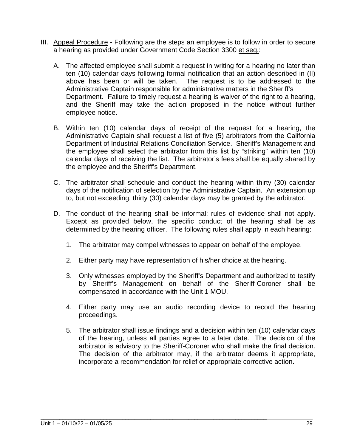- III. Appeal Procedure Following are the steps an employee is to follow in order to secure a hearing as provided under Government Code Section 3300 et seq.:
	- A. The affected employee shall submit a request in writing for a hearing no later than ten (10) calendar days following formal notification that an action described in (II) above has been or will be taken. The request is to be addressed to the Administrative Captain responsible for administrative matters in the Sheriff's Department. Failure to timely request a hearing is waiver of the right to a hearing, and the Sheriff may take the action proposed in the notice without further employee notice.
	- B. Within ten (10) calendar days of receipt of the request for a hearing, the Administrative Captain shall request a list of five (5) arbitrators from the California Department of Industrial Relations Conciliation Service. Sheriff's Management and the employee shall select the arbitrator from this list by "striking" within ten (10) calendar days of receiving the list. The arbitrator's fees shall be equally shared by the employee and the Sheriff's Department.
	- C. The arbitrator shall schedule and conduct the hearing within thirty (30) calendar days of the notification of selection by the Administrative Captain. An extension up to, but not exceeding, thirty (30) calendar days may be granted by the arbitrator.
	- D. The conduct of the hearing shall be informal; rules of evidence shall not apply. Except as provided below, the specific conduct of the hearing shall be as determined by the hearing officer. The following rules shall apply in each hearing:
		- 1. The arbitrator may compel witnesses to appear on behalf of the employee.
		- 2. Either party may have representation of his/her choice at the hearing.
		- 3. Only witnesses employed by the Sheriff's Department and authorized to testify by Sheriff's Management on behalf of the Sheriff-Coroner shall be compensated in accordance with the Unit 1 MOU.
		- 4. Either party may use an audio recording device to record the hearing proceedings.
		- 5. The arbitrator shall issue findings and a decision within ten (10) calendar days of the hearing, unless all parties agree to a later date. The decision of the arbitrator is advisory to the Sheriff-Coroner who shall make the final decision. The decision of the arbitrator may, if the arbitrator deems it appropriate, incorporate a recommendation for relief or appropriate corrective action.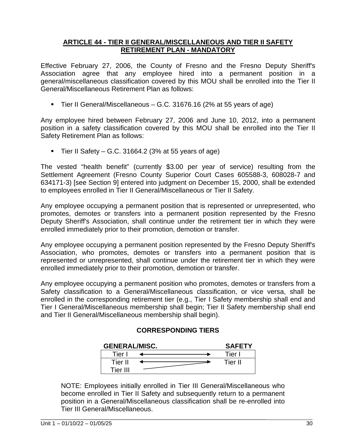#### **ARTICLE 44 - TIER II GENERAL/MISCELLANEOUS AND TIER II SAFETY RETIREMENT PLAN - MANDATORY**

Effective February 27, 2006, the County of Fresno and the Fresno Deputy Sheriff's Association agree that any employee hired into a permanent position in a general/miscellaneous classification covered by this MOU shall be enrolled into the Tier II General/Miscellaneous Retirement Plan as follows:

■ Tier II General/Miscellaneous – G.C. 31676.16 (2% at 55 years of age)

Any employee hired between February 27, 2006 and June 10, 2012, into a permanent position in a safety classification covered by this MOU shall be enrolled into the Tier II Safety Retirement Plan as follows:

 $\blacksquare$  Tier II Safety – G.C. 31664.2 (3% at 55 years of age)

The vested "health benefit" (currently \$3.00 per year of service) resulting from the Settlement Agreement (Fresno County Superior Court Cases 605588-3, 608028-7 and 634171-3) [see Section 9] entered into judgment on December 15, 2000, shall be extended to employees enrolled in Tier II General/Miscellaneous or Tier II Safety.

Any employee occupying a permanent position that is represented or unrepresented, who promotes, demotes or transfers into a permanent position represented by the Fresno Deputy Sheriff's Association, shall continue under the retirement tier in which they were enrolled immediately prior to their promotion, demotion or transfer.

Any employee occupying a permanent position represented by the Fresno Deputy Sheriff's Association, who promotes, demotes or transfers into a permanent position that is represented or unrepresented, shall continue under the retirement tier in which they were enrolled immediately prior to their promotion, demotion or transfer.

Any employee occupying a permanent position who promotes, demotes or transfers from a Safety classification to a General/Miscellaneous classification, or vice versa, shall be enrolled in the corresponding retirement tier (e.g., Tier I Safety membership shall end and Tier I General/Miscellaneous membership shall begin; Tier II Safety membership shall end and Tier II General/Miscellaneous membership shall begin).

#### **CORRESPONDING TIERS**

| <b>GENERAL/MISC.</b> | <b>SAFETY</b> |
|----------------------|---------------|
| Tier                 | Tier I        |
| Tier II              | Tier II       |
| Tier III             |               |

NOTE: Employees initially enrolled in Tier III General/Miscellaneous who become enrolled in Tier II Safety and subsequently return to a permanent position in a General/Miscellaneous classification shall be re-enrolled into Tier III General/Miscellaneous.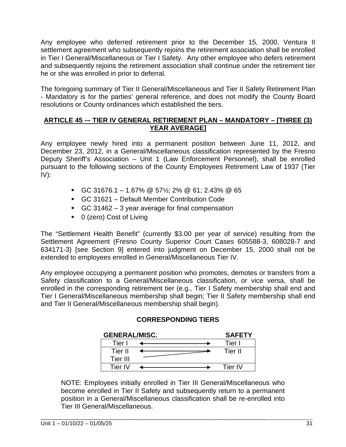Any employee who deferred retirement prior to the December 15, 2000, Ventura II settlement agreement who subsequently rejoins the retirement association shall be enrolled in Tier I General/Miscellaneous or Tier I Safety. Any other employee who defers retirement and subsequently rejoins the retirement association shall continue under the retirement tier he or she was enrolled in prior to deferral.

The foregoing summary of Tier II General/Miscellaneous and Tier II Safety Retirement Plan - Mandatory is for the parties' general reference, and does not modify the County Board resolutions or County ordinances which established the tiers.

#### **ARTICLE 45 -– TIER IV GENERAL RETIREMENT PLAN – MANDATORY – [THREE (3) YEAR AVERAGE]**

Any employee newly hired into a permanent position between June 11, 2012, and December 23, 2012, in a General/Miscellaneous classification represented by the Fresno Deputy Sheriff's Association – Unit 1 (Law Enforcement Personnel), shall be enrolled pursuant to the following sections of the County Employees Retirement Law of 1937 (Tier IV):

- GC 31676.1 1.67% @ 57½; 2% @ 61; 2.43% @ 65
- GC 31621 Default Member Contribution Code
- GC 31462 3 year average for final compensation
- 0 (zero) Cost of Living

The "Settlement Health Benefit" (currently \$3.00 per year of service) resulting from the Settlement Agreement (Fresno County Superior Court Cases 605588-3, 608028-7 and 634171-3) [see Section 9] entered into judgment on December 15, 2000 shall not be extended to employees enrolled in General/Miscellaneous Tier IV.

Any employee occupying a permanent position who promotes, demotes or transfers from a Safety classification to a General/Miscellaneous classification, or vice versa, shall be enrolled in the corresponding retirement tier (e.g., Tier I Safety membership shall end and Tier I General/Miscellaneous membership shall begin; Tier II Safety membership shall end and Tier II General/Miscellaneous membership shall begin).

#### **CORRESPONDING TIERS**

| <b>GENERAL/MISC.</b> | <b>SAFETY</b> |
|----------------------|---------------|
| Tier                 | Tier I        |
| Tier II              | Tier II       |
| Tier III             |               |
| Tier IV              | Tier IV       |

NOTE: Employees initially enrolled in Tier III General/Miscellaneous who become enrolled in Tier II Safety and subsequently return to a permanent position in a General/Miscellaneous classification shall be re-enrolled into Tier III General/Miscellaneous.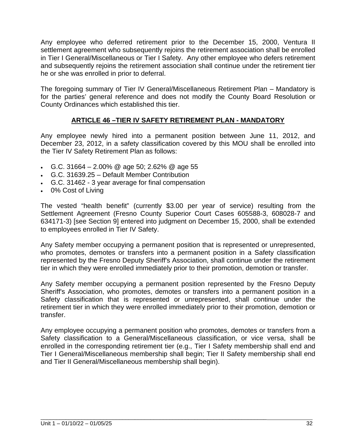Any employee who deferred retirement prior to the December 15, 2000, Ventura II settlement agreement who subsequently rejoins the retirement association shall be enrolled in Tier I General/Miscellaneous or Tier I Safety. Any other employee who defers retirement and subsequently rejoins the retirement association shall continue under the retirement tier he or she was enrolled in prior to deferral.

The foregoing summary of Tier IV General/Miscellaneous Retirement Plan – Mandatory is for the parties' general reference and does not modify the County Board Resolution or County Ordinances which established this tier.

#### **ARTICLE 46 –TIER IV SAFETY RETIREMENT PLAN - MANDATORY**

Any employee newly hired into a permanent position between June 11, 2012, and December 23, 2012, in a safety classification covered by this MOU shall be enrolled into the Tier IV Safety Retirement Plan as follows:

- G.C. 31664 2.00% @ age 50; 2.62% @ age 55
- G.C. 31639.25 Default Member Contribution
- G.C. 31462 3 year average for final compensation
- 0% Cost of Living

The vested "health benefit" (currently \$3.00 per year of service) resulting from the Settlement Agreement (Fresno County Superior Court Cases 605588-3, 608028-7 and 634171-3) [see Section 9] entered into judgment on December 15, 2000, shall be extended to employees enrolled in Tier IV Safety.

Any Safety member occupying a permanent position that is represented or unrepresented, who promotes, demotes or transfers into a permanent position in a Safety classification represented by the Fresno Deputy Sheriff's Association, shall continue under the retirement tier in which they were enrolled immediately prior to their promotion, demotion or transfer.

Any Safety member occupying a permanent position represented by the Fresno Deputy Sheriff's Association, who promotes, demotes or transfers into a permanent position in a Safety classification that is represented or unrepresented, shall continue under the retirement tier in which they were enrolled immediately prior to their promotion, demotion or transfer.

Any employee occupying a permanent position who promotes, demotes or transfers from a Safety classification to a General/Miscellaneous classification, or vice versa, shall be enrolled in the corresponding retirement tier (e.g., Tier I Safety membership shall end and Tier I General/Miscellaneous membership shall begin; Tier II Safety membership shall end and Tier II General/Miscellaneous membership shall begin).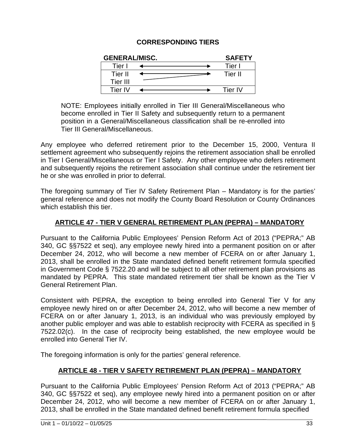#### **CORRESPONDING TIERS**

| <b>GENERAL/MISC.</b> | <b>SAFETY</b> |
|----------------------|---------------|
| Tier.                | Tier I        |
| Tier II              | Tier II       |
| Tier III             |               |
| Tier IV              | Tier IV       |

NOTE: Employees initially enrolled in Tier III General/Miscellaneous who become enrolled in Tier II Safety and subsequently return to a permanent position in a General/Miscellaneous classification shall be re-enrolled into Tier III General/Miscellaneous.

Any employee who deferred retirement prior to the December 15, 2000, Ventura II settlement agreement who subsequently rejoins the retirement association shall be enrolled in Tier I General/Miscellaneous or Tier I Safety. Any other employee who defers retirement and subsequently rejoins the retirement association shall continue under the retirement tier he or she was enrolled in prior to deferral.

The foregoing summary of Tier IV Safety Retirement Plan – Mandatory is for the parties' general reference and does not modify the County Board Resolution or County Ordinances which establish this tier.

#### **ARTICLE 47 - TIER V GENERAL RETIREMENT PLAN (PEPRA) – MANDATORY**

Pursuant to the California Public Employees' Pension Reform Act of 2013 ("PEPRA;" AB 340, GC §§7522 et seq), any employee newly hired into a permanent position on or after December 24, 2012, who will become a new member of FCERA on or after January 1, 2013, shall be enrolled in the State mandated defined benefit retirement formula specified in Government Code § 7522.20 and will be subject to all other retirement plan provisions as mandated by PEPRA. This state mandated retirement tier shall be known as the Tier V General Retirement Plan.

Consistent with PEPRA, the exception to being enrolled into General Tier V for any employee newly hired on or after December 24, 2012, who will become a new member of FCERA on or after January 1, 2013, is an individual who was previously employed by another public employer and was able to establish reciprocity with FCERA as specified in § 7522.02(c). In the case of reciprocity being established, the new employee would be enrolled into General Tier IV.

The foregoing information is only for the parties' general reference.

#### **ARTICLE 48 - TIER V SAFETY RETIREMENT PLAN (PEPRA) – MANDATORY**

Pursuant to the California Public Employees' Pension Reform Act of 2013 ("PEPRA;" AB 340, GC §§7522 et seq), any employee newly hired into a permanent position on or after December 24, 2012, who will become a new member of FCERA on or after January 1, 2013, shall be enrolled in the State mandated defined benefit retirement formula specified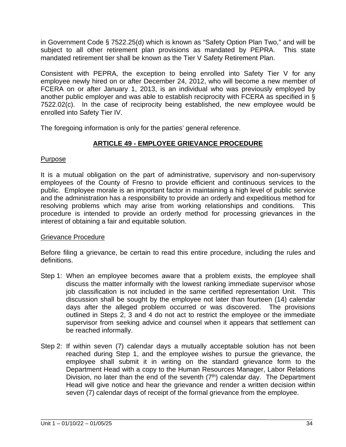in Government Code § 7522.25(d) which is known as "Safety Option Plan Two," and will be subject to all other retirement plan provisions as mandated by PEPRA. This state mandated retirement tier shall be known as the Tier V Safety Retirement Plan.

Consistent with PEPRA, the exception to being enrolled into Safety Tier V for any employee newly hired on or after December 24, 2012, who will become a new member of FCERA on or after January 1, 2013, is an individual who was previously employed by another public employer and was able to establish reciprocity with FCERA as specified in § 7522.02(c). In the case of reciprocity being established, the new employee would be enrolled into Safety Tier IV.

The foregoing information is only for the parties' general reference.

#### **ARTICLE 49 - EMPLOYEE GRIEVANCE PROCEDURE**

#### Purpose

It is a mutual obligation on the part of administrative, supervisory and non-supervisory employees of the County of Fresno to provide efficient and continuous services to the public. Employee morale is an important factor in maintaining a high level of public service and the administration has a responsibility to provide an orderly and expeditious method for resolving problems which may arise from working relationships and conditions. This procedure is intended to provide an orderly method for processing grievances in the interest of obtaining a fair and equitable solution.

#### Grievance Procedure

Before filing a grievance, be certain to read this entire procedure, including the rules and definitions.

- Step 1: When an employee becomes aware that a problem exists, the employee shall discuss the matter informally with the lowest ranking immediate supervisor whose job classification is not included in the same certified representation Unit. This discussion shall be sought by the employee not later than fourteen (14) calendar days after the alleged problem occurred or was discovered. The provisions outlined in Steps 2, 3 and 4 do not act to restrict the employee or the immediate supervisor from seeking advice and counsel when it appears that settlement can be reached informally.
- Step 2: If within seven (7) calendar days a mutually acceptable solution has not been reached during Step 1, and the employee wishes to pursue the grievance, the employee shall submit it in writing on the standard grievance form to the Department Head with a copy to the Human Resources Manager, Labor Relations Division, no later than the end of the seventh  $(7<sup>th</sup>)$  calendar day. The Department Head will give notice and hear the grievance and render a written decision within seven (7) calendar days of receipt of the formal grievance from the employee.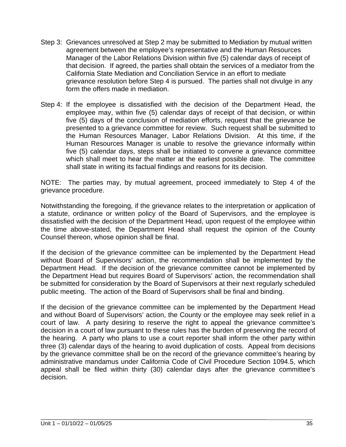- Step 3: Grievances unresolved at Step 2 may be submitted to Mediation by mutual written agreement between the employee's representative and the Human Resources Manager of the Labor Relations Division within five (5) calendar days of receipt of that decision. If agreed, the parties shall obtain the services of a mediator from the California State Mediation and Conciliation Service in an effort to mediate grievance resolution before Step 4 is pursued. The parties shall not divulge in any form the offers made in mediation.
- Step 4: If the employee is dissatisfied with the decision of the Department Head, the employee may, within five (5) calendar days of receipt of that decision, or within five (5) days of the conclusion of mediation efforts, request that the grievance be presented to a grievance committee for review. Such request shall be submitted to the Human Resources Manager, Labor Relations Division. At this time, if the Human Resources Manager is unable to resolve the grievance informally within five (5) calendar days, steps shall be initiated to convene a grievance committee which shall meet to hear the matter at the earliest possible date. The committee shall state in writing its factual findings and reasons for its decision.

NOTE: The parties may, by mutual agreement, proceed immediately to Step 4 of the grievance procedure.

Notwithstanding the foregoing, if the grievance relates to the interpretation or application of a statute, ordinance or written policy of the Board of Supervisors, and the employee is dissatisfied with the decision of the Department Head, upon request of the employee within the time above-stated, the Department Head shall request the opinion of the County Counsel thereon, whose opinion shall be final.

If the decision of the grievance committee can be implemented by the Department Head without Board of Supervisors' action, the recommendation shall be implemented by the Department Head. If the decision of the grievance committee cannot be implemented by the Department Head but requires Board of Supervisors' action, the recommendation shall be submitted for consideration by the Board of Supervisors at their next regularly scheduled public meeting. The action of the Board of Supervisors shall be final and binding.

If the decision of the grievance committee can be implemented by the Department Head and without Board of Supervisors' action, the County or the employee may seek relief in a court of law. A party desiring to reserve the right to appeal the grievance committee's decision in a court of law pursuant to these rules has the burden of preserving the record of the hearing. A party who plans to use a court reporter shall inform the other party within three (3) calendar days of the hearing to avoid duplication of costs. Appeal from decisions by the grievance committee shall be on the record of the grievance committee's hearing by administrative mandamus under California Code of Civil Procedure Section 1094.5, which appeal shall be filed within thirty (30) calendar days after the grievance committee's decision.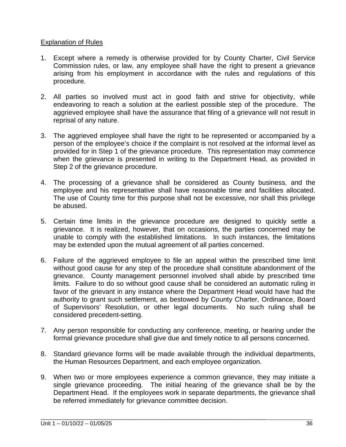#### Explanation of Rules

- 1. Except where a remedy is otherwise provided for by County Charter, Civil Service Commission rules, or law, any employee shall have the right to present a grievance arising from his employment in accordance with the rules and regulations of this procedure.
- 2. All parties so involved must act in good faith and strive for objectivity, while endeavoring to reach a solution at the earliest possible step of the procedure. The aggrieved employee shall have the assurance that filing of a grievance will not result in reprisal of any nature.
- 3. The aggrieved employee shall have the right to be represented or accompanied by a person of the employee's choice if the complaint is not resolved at the informal level as provided for in Step 1 of the grievance procedure. This representation may commence when the grievance is presented in writing to the Department Head, as provided in Step 2 of the grievance procedure.
- 4. The processing of a grievance shall be considered as County business, and the employee and his representative shall have reasonable time and facilities allocated. The use of County time for this purpose shall not be excessive, nor shall this privilege be abused.
- 5. Certain time limits in the grievance procedure are designed to quickly settle a grievance. It is realized, however, that on occasions, the parties concerned may be unable to comply with the established limitations. In such instances, the limitations may be extended upon the mutual agreement of all parties concerned.
- 6. Failure of the aggrieved employee to file an appeal within the prescribed time limit without good cause for any step of the procedure shall constitute abandonment of the grievance. County management personnel involved shall abide by prescribed time limits. Failure to do so without good cause shall be considered an automatic ruling in favor of the grievant in any instance where the Department Head would have had the authority to grant such settlement, as bestowed by County Charter, Ordinance, Board of Supervisors' Resolution, or other legal documents. No such ruling shall be considered precedent-setting.
- 7. Any person responsible for conducting any conference, meeting, or hearing under the formal grievance procedure shall give due and timely notice to all persons concerned.
- 8. Standard grievance forms will be made available through the individual departments, the Human Resources Department, and each employee organization.
- 9. When two or more employees experience a common grievance, they may initiate a single grievance proceeding. The initial hearing of the grievance shall be by the Department Head. If the employees work in separate departments, the grievance shall be referred immediately for grievance committee decision.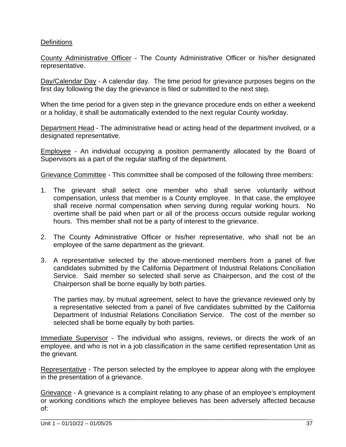#### **Definitions**

County Administrative Officer - The County Administrative Officer or his/her designated representative.

Day/Calendar Day - A calendar day. The time period for grievance purposes begins on the first day following the day the grievance is filed or submitted to the next step.

When the time period for a given step in the grievance procedure ends on either a weekend or a holiday, it shall be automatically extended to the next regular County workday.

Department Head - The administrative head or acting head of the department involved, or a designated representative.

Employee - An individual occupying a position permanently allocated by the Board of Supervisors as a part of the regular staffing of the department.

Grievance Committee - This committee shall be composed of the following three members:

- 1. The grievant shall select one member who shall serve voluntarily without compensation, unless that member is a County employee. In that case, the employee shall receive normal compensation when serving during regular working hours. No overtime shall be paid when part or all of the process occurs outside regular working hours. This member shall not be a party of interest to the grievance.
- 2. The County Administrative Officer or his/her representative, who shall not be an employee of the same department as the grievant.
- 3. A representative selected by the above-mentioned members from a panel of five candidates submitted by the California Department of Industrial Relations Conciliation Service. Said member so selected shall serve as Chairperson, and the cost of the Chairperson shall be borne equally by both parties.

The parties may, by mutual agreement, select to have the grievance reviewed only by a representative selected from a panel of five candidates submitted by the California Department of Industrial Relations Conciliation Service. The cost of the member so selected shall be borne equally by both parties.

Immediate Supervisor - The individual who assigns, reviews, or directs the work of an employee, and who is not in a job classification in the same certified representation Unit as the grievant.

Representative - The person selected by the employee to appear along with the employee in the presentation of a grievance.

Grievance - A grievance is a complaint relating to any phase of an employee's employment or working conditions which the employee believes has been adversely affected because of: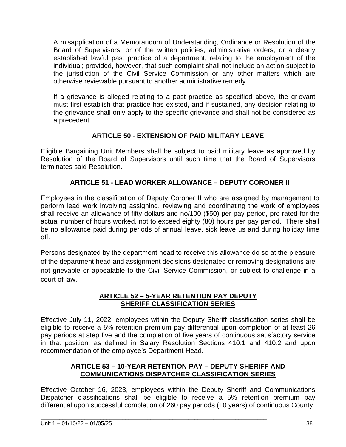A misapplication of a Memorandum of Understanding, Ordinance or Resolution of the Board of Supervisors, or of the written policies, administrative orders, or a clearly established lawful past practice of a department, relating to the employment of the individual; provided, however, that such complaint shall not include an action subject to the jurisdiction of the Civil Service Commission or any other matters which are otherwise reviewable pursuant to another administrative remedy.

If a grievance is alleged relating to a past practice as specified above, the grievant must first establish that practice has existed, and if sustained, any decision relating to the grievance shall only apply to the specific grievance and shall not be considered as a precedent.

#### **ARTICLE 50 - EXTENSION OF PAID MILITARY LEAVE**

Eligible Bargaining Unit Members shall be subject to paid military leave as approved by Resolution of the Board of Supervisors until such time that the Board of Supervisors terminates said Resolution.

#### **ARTICLE 51 - LEAD WORKER ALLOWANCE – DEPUTY CORONER II**

Employees in the classification of Deputy Coroner II who are assigned by management to perform lead work involving assigning, reviewing and coordinating the work of employees shall receive an allowance of fifty dollars and no/100 (\$50) per pay period, pro-rated for the actual number of hours worked, not to exceed eighty (80) hours per pay period. There shall be no allowance paid during periods of annual leave, sick leave us and during holiday time off.

Persons designated by the department head to receive this allowance do so at the pleasure of the department head and assignment decisions designated or removing designations are not grievable or appealable to the Civil Service Commission, or subject to challenge in a court of law.

#### **ARTICLE 52 – 5-YEAR RETENTION PAY DEPUTY SHERIFF CLASSIFICATION SERIES**

Effective July 11, 2022, employees within the Deputy Sheriff classification series shall be eligible to receive a 5% retention premium pay differential upon completion of at least 26 pay periods at step five and the completion of five years of continuous satisfactory service in that position, as defined in Salary Resolution Sections 410.1 and 410.2 and upon recommendation of the employee's Department Head.

#### **ARTICLE 53 – 10-YEAR RETENTION PAY – DEPUTY SHERIFF AND COMMUNICATIONS DISPATCHER CLASSIFICATION SERIES**

Effective October 16, 2023, employees within the Deputy Sheriff and Communications Dispatcher classifications shall be eligible to receive a 5% retention premium pay differential upon successful completion of 260 pay periods (10 years) of continuous County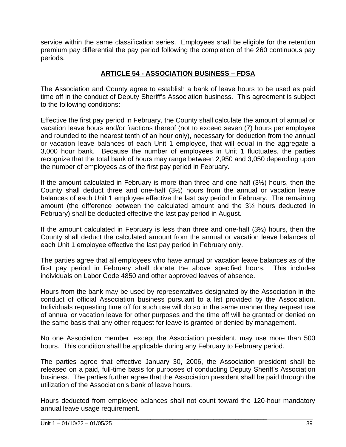service within the same classification series. Employees shall be eligible for the retention premium pay differential the pay period following the completion of the 260 continuous pay periods.

#### **ARTICLE 54 - ASSOCIATION BUSINESS – FDSA**

The Association and County agree to establish a bank of leave hours to be used as paid time off in the conduct of Deputy Sheriff's Association business. This agreement is subject to the following conditions:

Effective the first pay period in February, the County shall calculate the amount of annual or vacation leave hours and/or fractions thereof (not to exceed seven (7) hours per employee and rounded to the nearest tenth of an hour only), necessary for deduction from the annual or vacation leave balances of each Unit 1 employee, that will equal in the aggregate a 3,000 hour bank. Because the number of employees in Unit 1 fluctuates, the parties recognize that the total bank of hours may range between 2,950 and 3,050 depending upon the number of employees as of the first pay period in February.

If the amount calculated in February is more than three and one-half (3½) hours, then the County shall deduct three and one-half (3½) hours from the annual or vacation leave balances of each Unit 1 employee effective the last pay period in February. The remaining amount (the difference between the calculated amount and the 3½ hours deducted in February) shall be deducted effective the last pay period in August.

If the amount calculated in February is less than three and one-half (3½) hours, then the County shall deduct the calculated amount from the annual or vacation leave balances of each Unit 1 employee effective the last pay period in February only.

The parties agree that all employees who have annual or vacation leave balances as of the first pay period in February shall donate the above specified hours. This includes individuals on Labor Code 4850 and other approved leaves of absence.

Hours from the bank may be used by representatives designated by the Association in the conduct of official Association business pursuant to a list provided by the Association. Individuals requesting time off for such use will do so in the same manner they request use of annual or vacation leave for other purposes and the time off will be granted or denied on the same basis that any other request for leave is granted or denied by management.

No one Association member, except the Association president, may use more than 500 hours. This condition shall be applicable during any February to February period.

The parties agree that effective January 30, 2006, the Association president shall be released on a paid, full-time basis for purposes of conducting Deputy Sheriff's Association business. The parties further agree that the Association president shall be paid through the utilization of the Association's bank of leave hours.

Hours deducted from employee balances shall not count toward the 120-hour mandatory annual leave usage requirement.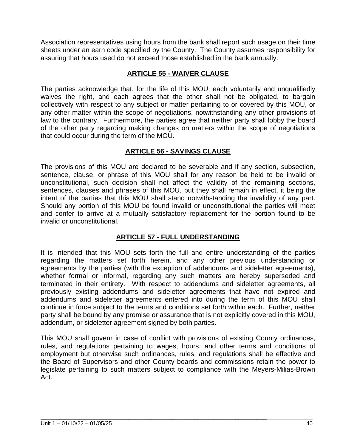Association representatives using hours from the bank shall report such usage on their time sheets under an earn code specified by the County. The County assumes responsibility for assuring that hours used do not exceed those established in the bank annually.

#### **ARTICLE 55 - WAIVER CLAUSE**

The parties acknowledge that, for the life of this MOU, each voluntarily and unqualifiedly waives the right, and each agrees that the other shall not be obligated, to bargain collectively with respect to any subject or matter pertaining to or covered by this MOU, or any other matter within the scope of negotiations, notwithstanding any other provisions of law to the contrary. Furthermore, the parties agree that neither party shall lobby the board of the other party regarding making changes on matters within the scope of negotiations that could occur during the term of the MOU.

#### **ARTICLE 56 - SAVINGS CLAUSE**

The provisions of this MOU are declared to be severable and if any section, subsection, sentence, clause, or phrase of this MOU shall for any reason be held to be invalid or unconstitutional, such decision shall not affect the validity of the remaining sections, sentences, clauses and phrases of this MOU, but they shall remain in effect, it being the intent of the parties that this MOU shall stand notwithstanding the invalidity of any part. Should any portion of this MOU be found invalid or unconstitutional the parties will meet and confer to arrive at a mutually satisfactory replacement for the portion found to be invalid or unconstitutional.

#### **ARTICLE 57 - FULL UNDERSTANDING**

It is intended that this MOU sets forth the full and entire understanding of the parties regarding the matters set forth herein, and any other previous understanding or agreements by the parties (with the exception of addendums and sideletter agreements), whether formal or informal, regarding any such matters are hereby superseded and terminated in their entirety. With respect to addendums and sideletter agreements, all previously existing addendums and sideletter agreements that have not expired and addendums and sideletter agreements entered into during the term of this MOU shall continue in force subject to the terms and conditions set forth within each. Further, neither party shall be bound by any promise or assurance that is not explicitly covered in this MOU, addendum, or sideletter agreement signed by both parties.

This MOU shall govern in case of conflict with provisions of existing County ordinances, rules, and regulations pertaining to wages, hours, and other terms and conditions of employment but otherwise such ordinances, rules, and regulations shall be effective and the Board of Supervisors and other County boards and commissions retain the power to legislate pertaining to such matters subject to compliance with the Meyers-Milias-Brown Act.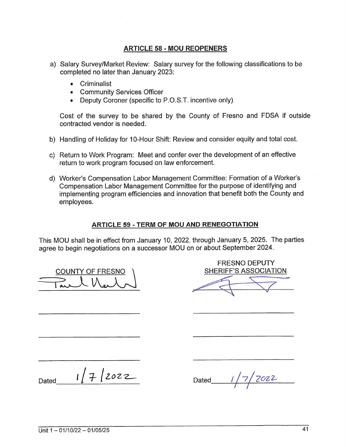#### **ARTICLE 58 - MOU REOPENERS**

- a) Salary Survey/Market Review: Salary survey for the following classifications to be completed no later than January 2023:
	- Criminalist
	- Community Services Officer
	- Deputy Coroner (specific to P.O.S.T. incentive only)

Cost of the survey to be shared by the County of Fresno and FDSA if outside contracted vendor is needed.

- b) Handling of Holiday for 10-Hour Shift: Review and consider equity and total cost.
- c) Return to Work Program: Meet and confer over the development of an effective return to work program focused on law enforcement.
- d) Worker's Compensation Labor Management Committee: Formation of a Worker's Compensation Labor Management Committee for the purpose of identifying and implementing program efficiencies and innovation that benefit both the County and employees.

#### **ARTICLE 59 - TERM OF MOU AND RENEGOTIATION**

This MOU shall be in effect from January 10, 2022, through January 5, 2025. The parties agree to begin negotiations on a successor MOU on or about September 2024.

**COUNTY OF FRESNO** 

**FRESNO DEPUTY SHERIFF'S ASSOCIATION** 

 $1/7/2022$ Dated

7022 Dated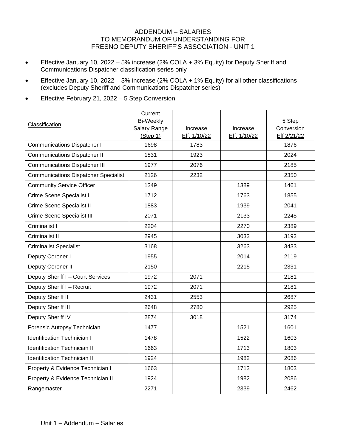#### ADDENDUM – SALARIES TO MEMORANDUM OF UNDERSTANDING FOR FRESNO DEPUTY SHERIFF'S ASSOCIATION - UNIT 1

- Effective January 10, 2022 5% increase (2% COLA + 3% Equity) for Deputy Sheriff and Communications Dispatcher classification series only
- Effective January 10, 2022 3% increase (2% COLA + 1% Equity) for all other classifications (excludes Deputy Sheriff and Communications Dispatcher series)
- Effective February 21, 2022 5 Step Conversion

| Classification                              | Current<br><b>Bi-Weekly</b><br>Salary Range<br>(Step 1) | Increase<br>Eff. 1/10/22 | Increase<br>Eff. 1/10/22 | 5 Step<br>Conversion<br>Eff 2/21/22 |
|---------------------------------------------|---------------------------------------------------------|--------------------------|--------------------------|-------------------------------------|
| <b>Communications Dispatcher I</b>          | 1698                                                    | 1783                     |                          | 1876                                |
| <b>Communications Dispatcher II</b>         | 1831                                                    | 1923                     |                          | 2024                                |
| <b>Communications Dispatcher III</b>        | 1977                                                    | 2076                     |                          | 2185                                |
| <b>Communications Dispatcher Specialist</b> | 2126                                                    | 2232                     |                          | 2350                                |
| <b>Community Service Officer</b>            | 1349                                                    |                          | 1389                     | 1461                                |
| Crime Scene Specialist I                    | 1712                                                    |                          | 1763                     | 1855                                |
| Crime Scene Specialist II                   | 1883                                                    |                          | 1939                     | 2041                                |
| Crime Scene Specialist III                  | 2071                                                    |                          | 2133                     | 2245                                |
| Criminalist I                               | 2204                                                    |                          | 2270                     | 2389                                |
| <b>Criminalist II</b>                       | 2945                                                    |                          | 3033                     | 3192                                |
| <b>Criminalist Specialist</b>               | 3168                                                    |                          | 3263                     | 3433                                |
| Deputy Coroner I                            | 1955                                                    |                          | 2014                     | 2119                                |
| Deputy Coroner II                           | 2150                                                    |                          | 2215                     | 2331                                |
| Deputy Sheriff I - Court Services           | 1972                                                    | 2071                     |                          | 2181                                |
| Deputy Sheriff I - Recruit                  | 1972                                                    | 2071                     |                          | 2181                                |
| Deputy Sheriff II                           | 2431                                                    | 2553                     |                          | 2687                                |
| Deputy Sheriff III                          | 2648                                                    | 2780                     |                          | 2925                                |
| Deputy Sheriff IV                           | 2874                                                    | 3018                     |                          | 3174                                |
| Forensic Autopsy Technician                 | 1477                                                    |                          | 1521                     | 1601                                |
| <b>Identification Technician I</b>          | 1478                                                    |                          | 1522                     | 1603                                |
| <b>Identification Technician II</b>         | 1663                                                    |                          | 1713                     | 1803                                |
| <b>Identification Technician III</b>        | 1924                                                    |                          | 1982                     | 2086                                |
| Property & Evidence Technician I            | 1663                                                    |                          | 1713                     | 1803                                |
| Property & Evidence Technician II           | 1924                                                    |                          | 1982                     | 2086                                |
| Rangemaster                                 | 2271                                                    |                          | 2339                     | 2462                                |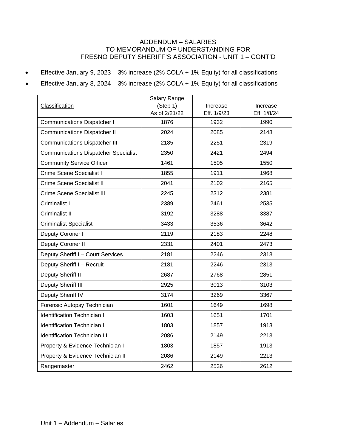#### ADDENDUM – SALARIES TO MEMORANDUM OF UNDERSTANDING FOR FRESNO DEPUTY SHERIFF'S ASSOCIATION - UNIT 1 – CONT'D

• Effective January 9, 2023 – 3% increase (2% COLA + 1% Equity) for all classifications

• Effective January 8, 2024 – 3% increase (2% COLA + 1% Equity) for all classifications

|                                             | Salary Range  |             |             |
|---------------------------------------------|---------------|-------------|-------------|
| Classification                              | (Step 1)      | Increase    | Increase    |
|                                             | As of 2/21/22 | Eff. 1/9/23 | Eff. 1/8/24 |
| <b>Communications Dispatcher I</b>          | 1876          | 1932        | 1990        |
| <b>Communications Dispatcher II</b>         | 2024          | 2085        | 2148        |
| <b>Communications Dispatcher III</b>        | 2185          | 2251        | 2319        |
| <b>Communications Dispatcher Specialist</b> | 2350          | 2421        | 2494        |
| <b>Community Service Officer</b>            | 1461          | 1505        | 1550        |
| Crime Scene Specialist I                    | 1855          | 1911        | 1968        |
| Crime Scene Specialist II                   | 2041          | 2102        | 2165        |
| Crime Scene Specialist III                  | 2245          | 2312        | 2381        |
| Criminalist I                               | 2389          | 2461        | 2535        |
| Criminalist II                              | 3192          | 3288        | 3387        |
| <b>Criminalist Specialist</b>               | 3433          | 3536        | 3642        |
| Deputy Coroner I                            | 2119          | 2183        | 2248        |
| Deputy Coroner II                           | 2331          | 2401        | 2473        |
| Deputy Sheriff I - Court Services           | 2181          | 2246        | 2313        |
| Deputy Sheriff I - Recruit                  | 2181          | 2246        | 2313        |
| Deputy Sheriff II                           | 2687          | 2768        | 2851        |
| Deputy Sheriff III                          | 2925          | 3013        | 3103        |
| Deputy Sheriff IV                           | 3174          | 3269        | 3367        |
| Forensic Autopsy Technician                 | 1601          | 1649        | 1698        |
| <b>Identification Technician I</b>          | 1603          | 1651        | 1701        |
| <b>Identification Technician II</b>         | 1803          | 1857        | 1913        |
| <b>Identification Technician III</b>        | 2086          | 2149        | 2213        |
| Property & Evidence Technician I            | 1803          | 1857        | 1913        |
| Property & Evidence Technician II           | 2086          | 2149        | 2213        |
| Rangemaster                                 | 2462          | 2536        | 2612        |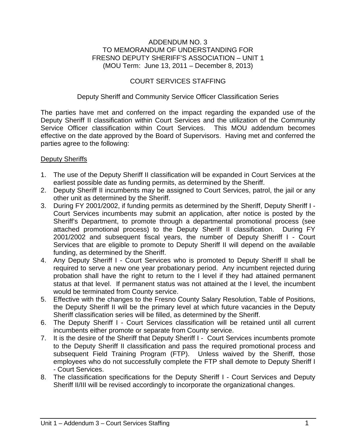#### ADDENDUM NO. 3 TO MEMORANDUM OF UNDERSTANDING FOR FRESNO DEPUTY SHERIFF'S ASSOCIATION – UNIT 1 (MOU Term: June 13, 2011 – December 8, 2013)

#### COURT SERVICES STAFFING

#### Deputy Sheriff and Community Service Officer Classification Series

The parties have met and conferred on the impact regarding the expanded use of the Deputy Sheriff II classification within Court Services and the utilization of the Community Service Officer classification within Court Services. This MOU addendum becomes effective on the date approved by the Board of Supervisors. Having met and conferred the parties agree to the following:

#### Deputy Sheriffs

- 1. The use of the Deputy Sheriff II classification will be expanded in Court Services at the earliest possible date as funding permits, as determined by the Sheriff.
- 2. Deputy Sheriff II incumbents may be assigned to Court Services, patrol, the jail or any other unit as determined by the Sheriff.
- 3. During FY 2001/2002, if funding permits as determined by the Sheriff, Deputy Sheriff I Court Services incumbents may submit an application, after notice is posted by the Sheriff's Department, to promote through a departmental promotional process (see attached promotional process) to the Deputy Sheriff II classification. During FY 2001/2002 and subsequent fiscal years, the number of Deputy Sheriff I - Court Services that are eligible to promote to Deputy Sheriff II will depend on the available funding, as determined by the Sheriff.
- 4. Any Deputy Sheriff I Court Services who is promoted to Deputy Sheriff II shall be required to serve a new one year probationary period. Any incumbent rejected during probation shall have the right to return to the I level if they had attained permanent status at that level. If permanent status was not attained at the I level, the incumbent would be terminated from County service.
- 5. Effective with the changes to the Fresno County Salary Resolution, Table of Positions, the Deputy Sheriff II will be the primary level at which future vacancies in the Deputy Sheriff classification series will be filled, as determined by the Sheriff.
- 6. The Deputy Sheriff I Court Services classification will be retained until all current incumbents either promote or separate from County service.
- 7. It is the desire of the Sheriff that Deputy Sheriff I Court Services incumbents promote to the Deputy Sheriff II classification and pass the required promotional process and subsequent Field Training Program (FTP). Unless waived by the Sheriff, those employees who do not successfully complete the FTP shall demote to Deputy Sheriff I - Court Services.
- 8. The classification specifications for the Deputy Sheriff I Court Services and Deputy Sheriff II/III will be revised accordingly to incorporate the organizational changes.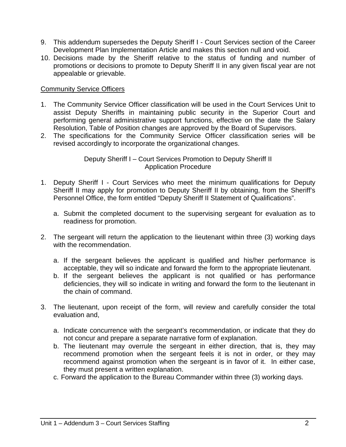- 9. This addendum supersedes the Deputy Sheriff I Court Services section of the Career Development Plan Implementation Article and makes this section null and void.
- 10. Decisions made by the Sheriff relative to the status of funding and number of promotions or decisions to promote to Deputy Sheriff II in any given fiscal year are not appealable or grievable.

#### Community Service Officers

- 1. The Community Service Officer classification will be used in the Court Services Unit to assist Deputy Sheriffs in maintaining public security in the Superior Court and performing general administrative support functions, effective on the date the Salary Resolution, Table of Position changes are approved by the Board of Supervisors.
- 2. The specifications for the Community Service Officer classification series will be revised accordingly to incorporate the organizational changes.

#### Deputy Sheriff I – Court Services Promotion to Deputy Sheriff II Application Procedure

- 1. Deputy Sheriff I Court Services who meet the minimum qualifications for Deputy Sheriff II may apply for promotion to Deputy Sheriff II by obtaining, from the Sheriff's Personnel Office, the form entitled "Deputy Sheriff II Statement of Qualifications".
	- a. Submit the completed document to the supervising sergeant for evaluation as to readiness for promotion.
- 2. The sergeant will return the application to the lieutenant within three (3) working days with the recommendation.
	- a. If the sergeant believes the applicant is qualified and his/her performance is acceptable, they will so indicate and forward the form to the appropriate lieutenant.
	- b. If the sergeant believes the applicant is not qualified or has performance deficiencies, they will so indicate in writing and forward the form to the lieutenant in the chain of command.
- 3. The lieutenant, upon receipt of the form, will review and carefully consider the total evaluation and,
	- a. Indicate concurrence with the sergeant's recommendation, or indicate that they do not concur and prepare a separate narrative form of explanation.
	- b. The lieutenant may overrule the sergeant in either direction, that is, they may recommend promotion when the sergeant feels it is not in order, or they may recommend against promotion when the sergeant is in favor of it. In either case, they must present a written explanation.
	- c. Forward the application to the Bureau Commander within three (3) working days.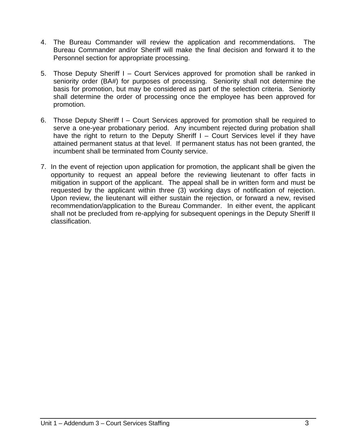- 4. The Bureau Commander will review the application and recommendations. The Bureau Commander and/or Sheriff will make the final decision and forward it to the Personnel section for appropriate processing.
- 5. Those Deputy Sheriff I Court Services approved for promotion shall be ranked in seniority order (BA#) for purposes of processing. Seniority shall not determine the basis for promotion, but may be considered as part of the selection criteria. Seniority shall determine the order of processing once the employee has been approved for promotion.
- 6. Those Deputy Sheriff I Court Services approved for promotion shall be required to serve a one-year probationary period. Any incumbent rejected during probation shall have the right to return to the Deputy Sheriff I – Court Services level if they have attained permanent status at that level. If permanent status has not been granted, the incumbent shall be terminated from County service.
- 7. In the event of rejection upon application for promotion, the applicant shall be given the opportunity to request an appeal before the reviewing lieutenant to offer facts in mitigation in support of the applicant. The appeal shall be in written form and must be requested by the applicant within three (3) working days of notification of rejection. Upon review, the lieutenant will either sustain the rejection, or forward a new, revised recommendation/application to the Bureau Commander. In either event, the applicant shall not be precluded from re-applying for subsequent openings in the Deputy Sheriff II classification.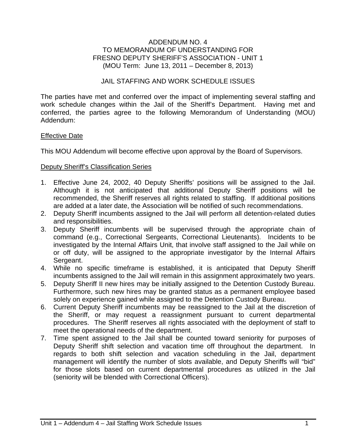#### ADDENDUM NO. 4 TO MEMORANDUM OF UNDERSTANDING FOR FRESNO DEPUTY SHERIFF'S ASSOCIATION - UNIT 1 (MOU Term: June 13, 2011 – December 8, 2013)

#### JAIL STAFFING AND WORK SCHEDULE ISSUES

The parties have met and conferred over the impact of implementing several staffing and work schedule changes within the Jail of the Sheriff's Department. Having met and conferred, the parties agree to the following Memorandum of Understanding (MOU) Addendum:

#### Effective Date

This MOU Addendum will become effective upon approval by the Board of Supervisors.

#### Deputy Sheriff's Classification Series

- 1. Effective June 24, 2002, 40 Deputy Sheriffs' positions will be assigned to the Jail. Although it is not anticipated that additional Deputy Sheriff positions will be recommended, the Sheriff reserves all rights related to staffing. If additional positions are added at a later date, the Association will be notified of such recommendations.
- 2. Deputy Sheriff incumbents assigned to the Jail will perform all detention-related duties and responsibilities.
- 3. Deputy Sheriff incumbents will be supervised through the appropriate chain of command (e.g., Correctional Sergeants, Correctional Lieutenants). Incidents to be investigated by the Internal Affairs Unit, that involve staff assigned to the Jail while on or off duty, will be assigned to the appropriate investigator by the Internal Affairs Sergeant.
- 4. While no specific timeframe is established, it is anticipated that Deputy Sheriff incumbents assigned to the Jail will remain in this assignment approximately two years.
- 5. Deputy Sheriff II new hires may be initially assigned to the Detention Custody Bureau. Furthermore, such new hires may be granted status as a permanent employee based solely on experience gained while assigned to the Detention Custody Bureau.
- 6. Current Deputy Sheriff incumbents may be reassigned to the Jail at the discretion of the Sheriff, or may request a reassignment pursuant to current departmental procedures. The Sheriff reserves all rights associated with the deployment of staff to meet the operational needs of the department.
- 7. Time spent assigned to the Jail shall be counted toward seniority for purposes of Deputy Sheriff shift selection and vacation time off throughout the department. In regards to both shift selection and vacation scheduling in the Jail, department management will identify the number of slots available, and Deputy Sheriffs will "bid" for those slots based on current departmental procedures as utilized in the Jail (seniority will be blended with Correctional Officers).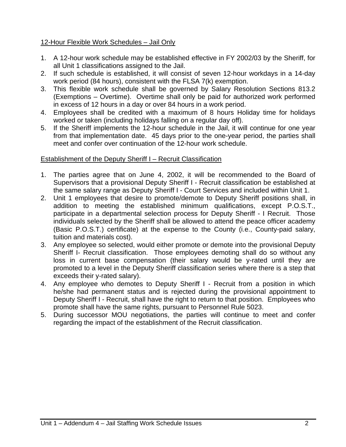#### 12-Hour Flexible Work Schedules – Jail Only

- 1. A 12-hour work schedule may be established effective in FY 2002/03 by the Sheriff, for all Unit 1 classifications assigned to the Jail.
- 2. If such schedule is established, it will consist of seven 12-hour workdays in a 14-day work period (84 hours), consistent with the FLSA 7(k) exemption.
- 3. This flexible work schedule shall be governed by Salary Resolution Sections 813.2 (Exemptions – Overtime). Overtime shall only be paid for authorized work performed in excess of 12 hours in a day or over 84 hours in a work period.
- 4. Employees shall be credited with a maximum of 8 hours Holiday time for holidays worked or taken (including holidays falling on a regular day off).
- 5. If the Sheriff implements the 12-hour schedule in the Jail, it will continue for one year from that implementation date. 45 days prior to the one-year period, the parties shall meet and confer over continuation of the 12-hour work schedule.

#### Establishment of the Deputy Sheriff I – Recruit Classification

- 1. The parties agree that on June 4, 2002, it will be recommended to the Board of Supervisors that a provisional Deputy Sheriff I - Recruit classification be established at the same salary range as Deputy Sheriff I - Court Services and included within Unit 1.
- 2. Unit 1 employees that desire to promote/demote to Deputy Sheriff positions shall, in addition to meeting the established minimum qualifications, except P.O.S.T., participate in a departmental selection process for Deputy Sheriff - I Recruit. Those individuals selected by the Sheriff shall be allowed to attend the peace officer academy (Basic P.O.S.T.) certificate) at the expense to the County (i.e., County-paid salary, tuition and materials cost).
- 3. Any employee so selected, would either promote or demote into the provisional Deputy Sheriff I- Recruit classification. Those employees demoting shall do so without any loss in current base compensation (their salary would be y-rated until they are promoted to a level in the Deputy Sheriff classification series where there is a step that exceeds their y-rated salary).
- 4. Any employee who demotes to Deputy Sheriff I Recruit from a position in which he/she had permanent status and is rejected during the provisional appointment to Deputy Sheriff I - Recruit, shall have the right to return to that position. Employees who promote shall have the same rights, pursuant to Personnel Rule 5023.
- 5. During successor MOU negotiations, the parties will continue to meet and confer regarding the impact of the establishment of the Recruit classification.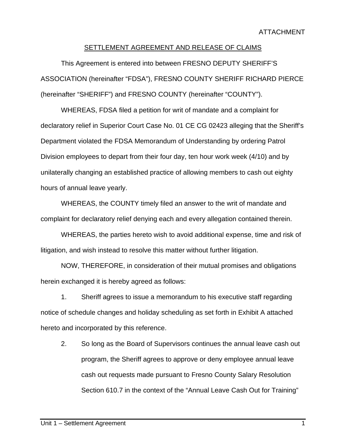#### SETTLEMENT AGREEMENT AND RELEASE OF CLAIMS

This Agreement is entered into between FRESNO DEPUTY SHERIFF'S ASSOCIATION (hereinafter "FDSA"), FRESNO COUNTY SHERIFF RICHARD PIERCE (hereinafter "SHERIFF") and FRESNO COUNTY (hereinafter "COUNTY").

WHEREAS, FDSA filed a petition for writ of mandate and a complaint for declaratory relief in Superior Court Case No. 01 CE CG 02423 alleging that the Sheriff's Department violated the FDSA Memorandum of Understanding by ordering Patrol Division employees to depart from their four day, ten hour work week (4/10) and by unilaterally changing an established practice of allowing members to cash out eighty hours of annual leave yearly.

WHEREAS, the COUNTY timely filed an answer to the writ of mandate and complaint for declaratory relief denying each and every allegation contained therein.

WHEREAS, the parties hereto wish to avoid additional expense, time and risk of litigation, and wish instead to resolve this matter without further litigation.

NOW, THEREFORE, in consideration of their mutual promises and obligations herein exchanged it is hereby agreed as follows:

1. Sheriff agrees to issue a memorandum to his executive staff regarding notice of schedule changes and holiday scheduling as set forth in Exhibit A attached hereto and incorporated by this reference.

2. So long as the Board of Supervisors continues the annual leave cash out program, the Sheriff agrees to approve or deny employee annual leave cash out requests made pursuant to Fresno County Salary Resolution Section 610.7 in the context of the "Annual Leave Cash Out for Training"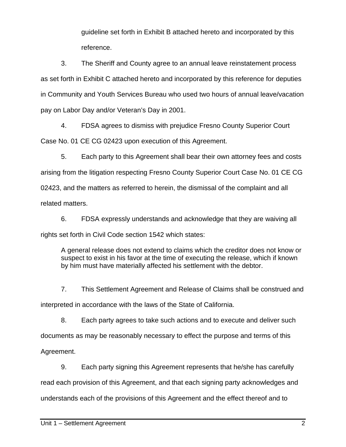guideline set forth in Exhibit B attached hereto and incorporated by this reference.

3. The Sheriff and County agree to an annual leave reinstatement process as set forth in Exhibit C attached hereto and incorporated by this reference for deputies in Community and Youth Services Bureau who used two hours of annual leave/vacation pay on Labor Day and/or Veteran's Day in 2001.

4. FDSA agrees to dismiss with prejudice Fresno County Superior Court

Case No. 01 CE CG 02423 upon execution of this Agreement.

5. Each party to this Agreement shall bear their own attorney fees and costs arising from the litigation respecting Fresno County Superior Court Case No. 01 CE CG 02423, and the matters as referred to herein, the dismissal of the complaint and all related matters.

6. FDSA expressly understands and acknowledge that they are waiving all rights set forth in Civil Code section 1542 which states:

A general release does not extend to claims which the creditor does not know or suspect to exist in his favor at the time of executing the release, which if known by him must have materially affected his settlement with the debtor.

7. This Settlement Agreement and Release of Claims shall be construed and interpreted in accordance with the laws of the State of California.

8. Each party agrees to take such actions and to execute and deliver such documents as may be reasonably necessary to effect the purpose and terms of this

Agreement.

9. Each party signing this Agreement represents that he/she has carefully

read each provision of this Agreement, and that each signing party acknowledges and

understands each of the provisions of this Agreement and the effect thereof and to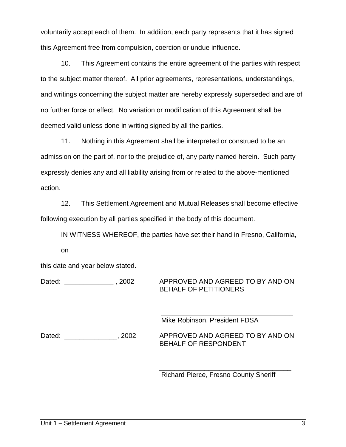voluntarily accept each of them. In addition, each party represents that it has signed this Agreement free from compulsion, coercion or undue influence.

10. This Agreement contains the entire agreement of the parties with respect to the subject matter thereof. All prior agreements, representations, understandings, and writings concerning the subject matter are hereby expressly superseded and are of no further force or effect. No variation or modification of this Agreement shall be deemed valid unless done in writing signed by all the parties.

11. Nothing in this Agreement shall be interpreted or construed to be an admission on the part of, nor to the prejudice of, any party named herein. Such party expressly denies any and all liability arising from or related to the above-mentioned action.

12. This Settlement Agreement and Mutual Releases shall become effective following execution by all parties specified in the body of this document.

IN WITNESS WHEREOF, the parties have set their hand in Fresno, California, on

this date and year below stated.

Dated: \_\_\_\_\_\_\_\_\_\_\_\_\_\_\_, 2002 APPROVED AND AGREED TO BY AND ON BEHALF OF PETITIONERS

> \_\_\_\_\_\_\_\_\_\_\_\_\_\_\_\_\_\_\_\_\_\_\_\_\_\_\_\_\_\_\_\_\_\_\_ Mike Robinson, President FDSA

Dated: \_\_\_\_\_\_\_\_\_\_\_\_\_, 2002 APPROVED AND AGREED TO BY AND ON BEHALF OF RESPONDENT

> \_\_\_\_\_\_\_\_\_\_\_\_\_\_\_\_\_\_\_\_\_\_\_\_\_\_\_\_\_\_\_\_\_\_\_ Richard Pierce, Fresno County Sheriff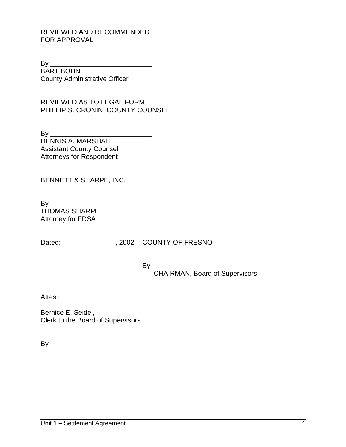#### REVIEWED AND RECOMMENDED FOR APPROVAL

 $\mathsf{B}\mathsf{y}$ BART BOHN County Administrative Officer

REVIEWED AS TO LEGAL FORM PHILLIP S. CRONIN, COUNTY COUNSEL

By \_\_\_\_\_\_\_\_\_\_\_\_\_\_\_\_\_\_\_\_\_\_\_\_\_\_\_ DENNIS A. MARSHALL Assistant County Counsel Attorneys for Respondent

BENNETT & SHARPE, INC.

By \_\_\_\_\_\_\_\_\_\_\_\_\_\_\_\_\_\_\_\_\_\_\_\_\_\_\_ THOMAS SHARPE Attorney for FDSA

Dated:  $0.2002$  COUNTY OF FRESNO

 $By \_\_$ 

CHAIRMAN, Board of Supervisors

Attest:

Bernice E. Seidel, Clerk to the Board of Supervisors

 $\mathsf{By} \_\_\_\_\_\_\$